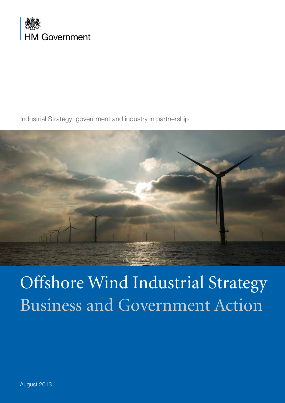

Industrial Strategy: government and industry in partnership



# Offshore Wind Industrial Strategy Business and Government Action

August 2013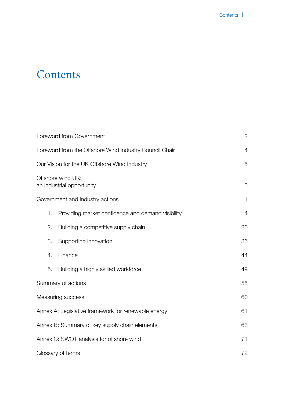## **Contents**

| Foreword from Government                               |                                                   | $\mathbf{2}$   |
|--------------------------------------------------------|---------------------------------------------------|----------------|
| Foreword from the Offshore Wind Industry Council Chair |                                                   | $\overline{4}$ |
| Our Vision for the UK Offshore Wind Industry           |                                                   | 5              |
| Offshore wind UK:<br>an industrial opportunity         |                                                   | 6              |
|                                                        | Government and industry actions                   | 11             |
| 1.                                                     | Providing market confidence and demand visibility | 14             |
| 2.                                                     | Building a competitive supply chain               | 20             |
| 3.                                                     | Supporting innovation                             | 36             |
| 4.                                                     | Finance                                           | 44             |
| 5.                                                     | Building a highly skilled workforce               | 49             |
| Summary of actions                                     |                                                   | 55             |
| Measuring success                                      |                                                   | 60             |
| Annex A: Legislative framework for renewable energy    |                                                   | 61             |
| Annex B: Summary of key supply chain elements          |                                                   | 63             |
| Annex C: SWOT analysis for offshore wind               |                                                   | 71             |
| Glossary of terms                                      |                                                   | 72             |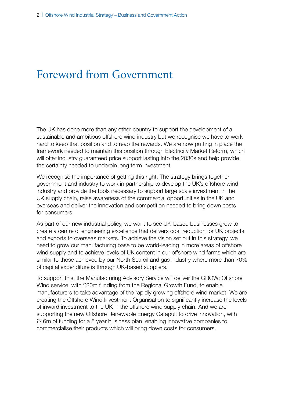## <span id="page-2-0"></span>Foreword from Government

The UK has done more than any other country to support the development of a sustainable and ambitious offshore wind industry but we recognise we have to work hard to keep that position and to reap the rewards. We are now putting in place the framework needed to maintain this position through Electricity Market Reform, which will offer industry guaranteed price support lasting into the 2030s and help provide the certainty needed to underpin long term investment.

We recognise the importance of getting this right. The strategy brings together government and industry to work in partnership to develop the UK's offshore wind industry and provide the tools necessary to support large scale investment in the UK supply chain, raise awareness of the commercial opportunities in the UK and overseas and deliver the innovation and competition needed to bring down costs for consumers.

As part of our new industrial policy, we want to see UK-based businesses grow to create a centre of engineering excellence that delivers cost reduction for UK projects and exports to overseas markets. To achieve the vision set out in this strategy, we need to grow our manufacturing base to be world-leading in more areas of offshore wind supply and to achieve levels of UK content in our offshore wind farms which are similar to those achieved by our North Sea oil and gas industry where more than 70% of capital expenditure is through UK-based suppliers.

To support this, the Manufacturing Advisory Service will deliver the GROW: Offshore Wind service, with £20m funding from the Regional Growth Fund, to enable manufacturers to take advantage of the rapidly growing offshore wind market. We are creating the Offshore Wind Investment Organisation to significantly increase the levels of inward investment to the UK in the offshore wind supply chain. And we are supporting the new Offshore Renewable Energy Catapult to drive innovation, with £46m of funding for a 5 year business plan, enabling innovative companies to commercialise their products which will bring down costs for consumers.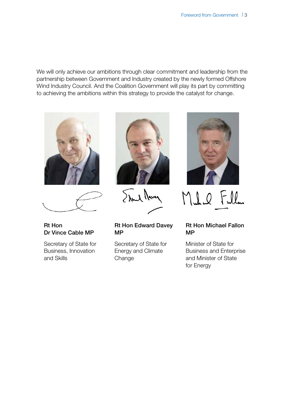We will only achieve our ambitions through clear commitment and leadership from the partnership between Government and Industry created by the newly formed Offshore Wind Industry Council. And the Coalition Government will play its part by committing to achieving the ambitions within this strategy to provide the catalyst for change.





Rt Hon Dr Vince Cable MP

Secretary of State for Business, Innovation and Skills



Stand Marcy

Rt Hon Edward Davey MP

Secretary of State for Energy and Climate Change



Mulu Fulla

#### Rt Hon Michael Fallon MP

Minister of State for Business and Enterprise and Minister of State for Energy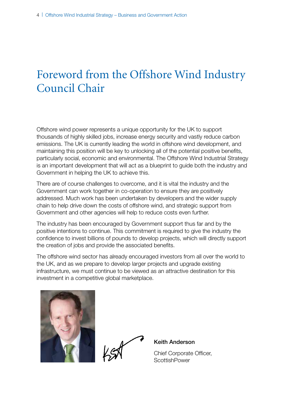## <span id="page-4-0"></span>Foreword from the Offshore Wind Industry Council Chair

Offshore wind power represents a unique opportunity for the UK to support thousands of highly skilled jobs, increase energy security and vastly reduce carbon emissions. The UK is currently leading the world in offshore wind development, and maintaining this position will be key to unlocking all of the potential positive benefits, particularly social, economic and environmental. The Offshore Wind Industrial Strategy is an important development that will act as a blueprint to guide both the industry and Government in helping the UK to achieve this.

There are of course challenges to overcome, and it is vital the industry and the Government can work together in co-operation to ensure they are positively addressed. Much work has been undertaken by developers and the wider supply chain to help drive down the costs of offshore wind, and strategic support from Government and other agencies will help to reduce costs even further.

The industry has been encouraged by Government support thus far and by the positive intentions to continue. This commitment is required to give the industry the confidence to invest billions of pounds to develop projects, which will directly support the creation of jobs and provide the associated benefits.

The offshore wind sector has already encouraged investors from all over the world to the UK, and as we prepare to develop larger projects and upgrade existing infrastructure, we must continue to be viewed as an attractive destination for this investment in a competitive global marketplace.



Keith Anderson

Chief Corporate Officer, **ScottishPower**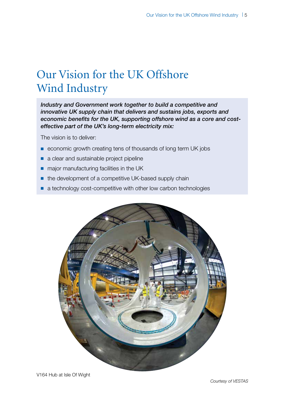## <span id="page-5-0"></span>Our Vision for the UK Offshore Wind Industry

*Industry and Government work together to build a competitive and innovative UK supply chain that delivers and sustains jobs, exports and economic benefits for the UK, supporting offshore wind as a core and costeffective part of the UK's long-term electricity mix:*

The vision is to deliver:

- economic growth creating tens of thousands of long term UK jobs
- a clear and sustainable project pipeline
- major manufacturing facilities in the UK
- the development of a competitive UK-based supply chain
- a technology cost-competitive with other low carbon technologies

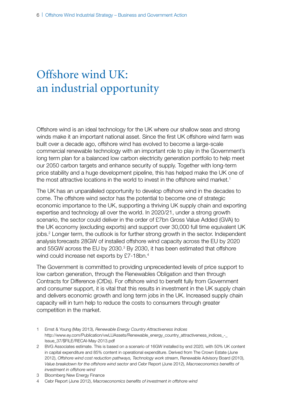## <span id="page-6-0"></span>Offshore wind UK: an industrial opportunity

Offshore wind is an ideal technology for the UK where our shallow seas and strong winds make it an important national asset. Since the first UK offshore wind farm was built over a decade ago, offshore wind has evolved to become a large-scale commercial renewable technology with an important role to play in the Government's long term plan for a balanced low carbon electricity generation portfolio to help meet our 2050 carbon targets and enhance security of supply. Together with long-term price stability and a huge development pipeline, this has helped make the UK one of the most attractive locations in the world to invest in the offshore wind market.<sup>1</sup>

The UK has an unparalleled opportunity to develop offshore wind in the decades to come. The offshore wind sector has the potential to become one of strategic economic importance to the UK, supporting a thriving UK supply chain and exporting expertise and technology all over the world. In 2020/21, under a strong growth scenario, the sector could deliver in the order of £7bn Gross Value Added (GVA) to the UK economy (excluding exports) and support over 30,000 full time equivalent UK jobs.<sup>2</sup> Longer term, the outlook is for further strong growth in the sector. Independent analysis forecasts 28GW of installed offshore wind capacity across the EU by 2020 and 55GW across the EU by 2030.<sup>3</sup> By 2030, it has been estimated that offshore wind could increase net exports by £7-18bn.<sup>4</sup>

The Government is committed to providing unprecedented levels of price support to low carbon generation, through the Renewables Obligation and then through Contracts for Difference (CfDs). For offshore wind to benefit fully from Government and consumer support, it is vital that this results in investment in the UK supply chain and delivers economic growth and long term jobs in the UK. Increased supply chain capacity will in turn help to reduce the costs to consumers through greater competition in the market.

- 1 Ernst & Young (May 2013), *Renewable Energy Country Attractiveness Indices* [http://www.ey.com/Publication/vwLUAssets/Renewable\\_energy\\_country\\_attractiveness\\_indices\\_-\\_](http://www.ey.com/Publication/vwLUAssets/Renewable_energy_country_attractiveness_indices_-_Issue_37/$FILE/RECAI-May-2013.pdf) [Issue\\_37/\\$FILE/RECAI-May-2013.pdf](http://www.ey.com/Publication/vwLUAssets/Renewable_energy_country_attractiveness_indices_-_Issue_37/$FILE/RECAI-May-2013.pdf)
- 2 BVG Associates estimate. This is based on a scenario of 16GW installed by end 2020, with 50% UK content in capital expenditure and 85% content in operational expenditure. Derived from The Crown Estate (June 2012), *Offshore wind cost reduction pathways, Technology work stream*, Renewable Advisory Board (2010), *Value breakdown for the offshore wind sector* and Cebr Report (June 2012), *Macroeconomics benefits of investment in offshore wind*
- 3 Bloomberg New Energy Finance
- 4 Cebr Report (June 2012), *Macroeconomics benefits of investment in offshore wind*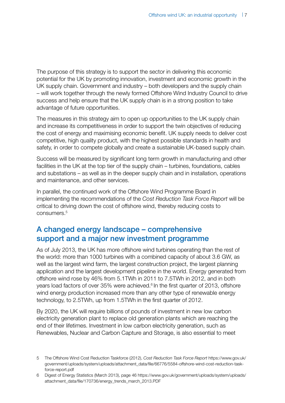The purpose of this strategy is to support the sector in delivering this economic potential for the UK by promoting innovation, investment and economic growth in the UK supply chain. Government and industry – both developers and the supply chain – will work together through the newly formed Offshore Wind Industry Council to drive success and help ensure that the UK supply chain is in a strong position to take advantage of future opportunities.

The measures in this strategy aim to open up opportunities to the UK supply chain and increase its competitiveness in order to support the twin objectives of reducing the cost of energy and maximising economic benefit. UK supply needs to deliver cost competitive, high quality product, with the highest possible standards in health and safety, in order to compete globally and create a sustainable UK-based supply chain.

Success will be measured by significant long term growth in manufacturing and other facilities in the UK at the top tier of the supply chain – turbines, foundations, cables and substations – as well as in the deeper supply chain and in installation, operations and maintenance, and other services.

In parallel, the continued work of the Offshore Wind Programme Board in implementing the recommendations of the *Cost Reduction Task Force Report* will be critical to driving down the cost of offshore wind, thereby reducing costs to consumers.5

## A changed energy landscape – comprehensive support and a major new investment programme

As of July 2013, the UK has more offshore wind turbines operating than the rest of the world: more than 1000 turbines with a combined capacity of about 3.6 GW, as well as the largest wind farm, the largest construction project, the largest planning application and the largest development pipeline in the world. Energy generated from offshore wind rose by 46% from 5.1TWh in 2011 to 7.5TWh in 2012, and in both years load factors of over 35% were achieved.<sup>6</sup> In the first quarter of 2013, offshore wind energy production increased more than any other type of renewable energy technology, to 2.5TWh, up from 1.5TWh in the first quarter of 2012.

By 2020, the UK will require billions of pounds of investment in new low carbon electricity generation plant to replace old generation plants which are reaching the end of their lifetimes. Investment in low carbon electricity generation, such as Renewables, Nuclear and Carbon Capture and Storage, is also essential to meet

<sup>5</sup> The Offshore Wind Cost Reduction Taskforce (2012), *Cost Reduction Task Force Report* [https://www.gov.uk/](https://www.gov.uk/government/uploads/system/uploads/attachment_data/file/66776/5584-offshore-wind-cost-reduction-task-force-report.pdf) [government/uploads/system/uploads/attachment\\_data/file/66776/5584-offshore-wind-cost-reduction-task](https://www.gov.uk/government/uploads/system/uploads/attachment_data/file/66776/5584-offshore-wind-cost-reduction-task-force-report.pdf)[force-report.pdf](https://www.gov.uk/government/uploads/system/uploads/attachment_data/file/66776/5584-offshore-wind-cost-reduction-task-force-report.pdf)

<sup>6</sup> Digest of Energy Statistics (March 2013), page 46 [https://www.gov.uk/government/uploads/system/uploads/](https://www.gov.uk/government/uploads/system/uploads/attachment_data/file/170736/energy_trends_march_2013.PDF) [attachment\\_data/file/170736/energy\\_trends\\_march\\_2013.PDF](https://www.gov.uk/government/uploads/system/uploads/attachment_data/file/170736/energy_trends_march_2013.PDF)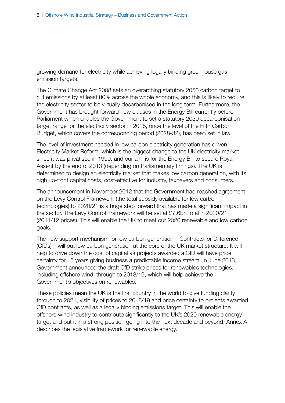growing demand for electricity while achieving legally binding greenhouse gas emission targets.

The Climate Change Act 2008 sets an overarching statutory 2050 carbon target to cut emissions by at least 80% across the whole economy, and this is likely to require the electricity sector to be virtually decarbonised in the long term. Furthermore, the Government has brought forward new clauses in the Energy Bill currently before Parliament which enables the Government to set a statutory 2030 decarbonisation target range for the electricity sector in 2016, once the level of the Fifth Carbon Budget, which covers the corresponding period (2028-32), has been set in law.

The level of investment needed in low carbon electricity generation has driven Electricity Market Reform, which is the biggest change to the UK electricity market since it was privatised in 1990, and our aim is for the Energy Bill to secure Royal Assent by the end of 2013 (depending on Parliamentary timings). The UK is determined to design an electricity market that makes low carbon generation, with its high up-front capital costs, cost-effective for industry, taxpayers and consumers.

The announcement in November 2012 that the Government had reached agreement on the Levy Control Framework (the total subsidy available for low carbon technologies) to 2020/21 is a huge step forward that has made a significant impact in the sector. The Levy Control Framework will be set at £7.6bn total in 2020/21 (2011/12 prices). This will enable the UK to meet our 2020 renewable and low carbon goals.

The new support mechanism for low carbon generation – Contracts for Difference (CfDs) – will put low carbon generation at the core of the UK market structure. It will help to drive down the cost of capital as projects awarded a CfD will have price certainty for 15 years giving business a predictable income stream. In June 2013, Government announced the draft CfD strike prices for renewables technologies, including offshore wind, through to 2018/19, which will help achieve the Government's objectives on renewables.

These policies mean the UK is the first country in the world to give funding clarity through to 2021, visibility of prices to 2018/19 and price certainty to projects awarded CfD contracts, as well as a legally binding emissions target. This will enable the offshore wind industry to contribute significantly to the UK's 2020 renewable energy target and put it in a strong position going into the next decade and beyond. Annex A describes the legislative framework for renewable energy.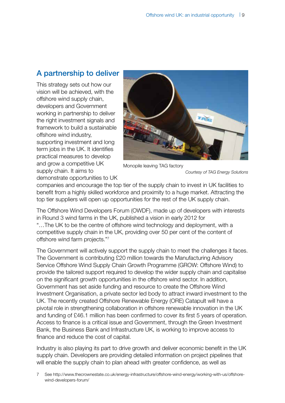## A partnership to deliver

This strategy sets out how our vision will be achieved, with the offshore wind supply chain, developers and Government working in partnership to deliver the right investment signals and framework to build a sustainable offshore wind industry, supporting investment and long term jobs in the UK. It identifies practical measures to develop and grow a competitive UK supply chain. It aims to



Monopile leaving TAG factory

*Courtesy of TAG Energy Solutions*

demonstrate opportunities to UK

companies and encourage the top tier of the supply chain to invest in UK facilities to benefit from a highly skilled workforce and proximity to a huge market. Attracting the top tier suppliers will open up opportunities for the rest of the UK supply chain.

The Offshore Wind Developers Forum (OWDF), made up of developers with interests in Round 3 wind farms in the UK, published a vision in early 2012 for "…The UK to be the centre of offshore wind technology and deployment, with a competitive supply chain in the UK, providing over 50 per cent of the content of offshore wind farm projects."7

The Government will actively support the supply chain to meet the challenges it faces. The Government is contributing £20 million towards the Manufacturing Advisory Service Offshore Wind Supply Chain Growth Programme (GROW: Offshore Wind) to provide the tailored support required to develop the wider supply chain and capitalise on the significant growth opportunities in the offshore wind sector. In addition, Government has set aside funding and resource to create the Offshore Wind Investment Organisation, a private sector led body to attract inward investment to the UK. The recently created Offshore Renewable Energy (ORE) Catapult will have a pivotal role in strengthening collaboration in offshore renewable innovation in the UK and funding of £46.1 million has been confirmed to cover its first 5 years of operation. Access to finance is a critical issue and Government, through the Green Investment Bank, the Business Bank and Infrastructure UK, is working to improve access to finance and reduce the cost of capital.

Industry is also playing its part to drive growth and deliver economic benefit in the UK supply chain. Developers are providing detailed information on project pipelines that will enable the supply chain to plan ahead with greater confidence, as well as

7 See [http://www.thecrownestate.co.uk/energy-infrastructure/offshore-wind-energy/working-with-us/offshore](http://www.thecrownestate.co.uk/energy-infrastructure/offshore-wind-energy/working-with-us/offshore-wind-developers-forum/)[wind-developers-forum/](http://www.thecrownestate.co.uk/energy-infrastructure/offshore-wind-energy/working-with-us/offshore-wind-developers-forum/)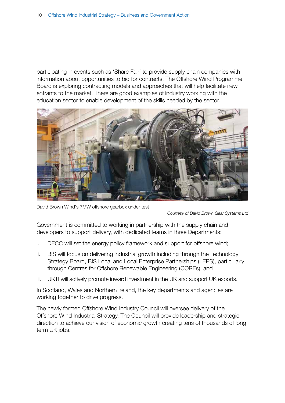participating in events such as 'Share Fair' to provide supply chain companies with information about opportunities to bid for contracts. The Offshore Wind Programme Board is exploring contracting models and approaches that will help facilitate new entrants to the market. There are good examples of industry working with the education sector to enable development of the skills needed by the sector.



David Brown Wind's 7MW offshore gearbox under test

*Courtesy of David Brown Gear Systems Ltd*

Government is committed to working in partnership with the supply chain and developers to support delivery, with dedicated teams in three Departments:

- i. DECC will set the energy policy framework and support for offshore wind;
- ii. BIS will focus on delivering industrial growth including through the Technology Strategy Board, BIS Local and Local Enterprise Partnerships (LEPS), particularly through Centres for Offshore Renewable Engineering (COREs); and
- iii. UKTI will actively promote inward investment in the UK and support UK exports.

In Scotland, Wales and Northern Ireland, the key departments and agencies are working together to drive progress.

The newly formed Offshore Wind Industry Council will oversee delivery of the Offshore Wind Industrial Strategy. The Council will provide leadership and strategic direction to achieve our vision of economic growth creating tens of thousands of long term UK jobs.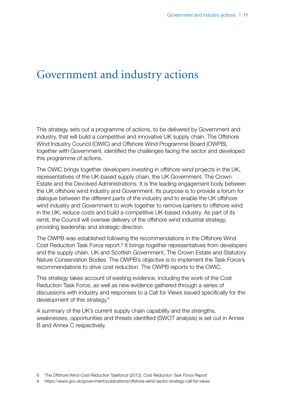## <span id="page-11-0"></span>Government and industry actions

This strategy sets out a programme of actions, to be delivered by Government and industry, that will build a competitive and innovative UK supply chain. The Offshore Wind Industry Council (OWIC) and Offshore Wind Programme Board (OWPB), together with Government, identified the challenges facing the sector and developed this programme of actions.

The OWIC brings together developers investing in offshore wind projects in the UK, representatives of the UK-based supply chain, the UK Government, The Crown Estate and the Devolved Administrations. It is the leading engagement body between the UK offshore wind industry and Government. Its purpose is to provide a forum for dialogue between the different parts of the industry and to enable the UK offshore wind industry and Government to work together to remove barriers to offshore wind in the UK, reduce costs and build a competitive UK-based industry. As part of its remit, the Council will oversee delivery of the offshore wind industrial strategy, providing leadership and strategic direction.

The OWPB was established following the recommendations in the Offshore Wind Cost Reduction Task Force report.<sup>8</sup> It brings together representatives from developers and the supply chain, UK and Scottish Government, The Crown Estate and Statutory Nature Conservation Bodies. The OWPB's objective is to implement the Task Force's recommendations to drive cost reduction. The OWPB reports to the OWIC.

This strategy takes account of existing evidence, including the work of the Cost Reduction Task Force, as well as new evidence gathered through a series of discussions with industry and responses to a Call for Views issued specifically for the development of this strategy.9

A summary of the UK's current supply chain capability and the strengths, weaknesses, opportunities and threats identified (SWOT analysis) is set out in Annex B and Annex C respectively.

8 The Offshore Wind Cost Reduction Taskforce (2012), *Cost Reduction Task Force Report*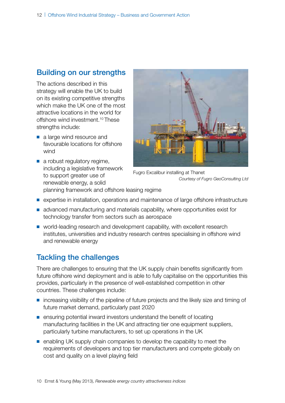## Building on our strengths

The actions described in this strategy will enable the UK to build on its existing competitive strengths which make the UK one of the most attractive locations in the world for offshore wind investment.10 These strengths include:

- a large wind resource and favourable locations for offshore wind
- a robust regulatory regime, including a legislative framework to support greater use of renewable energy, a solid



Fugro Excalibur installing at Thanet *Courtesy of Fugro GeoConsulting Ltd*

- planning framework and offshore leasing regime
- expertise in installation, operations and maintenance of large offshore infrastructure
- advanced manufacturing and materials capability, where opportunities exist for technology transfer from sectors such as aerospace
- world-leading research and development capability, with excellent research institutes, universities and industry research centres specialising in offshore wind and renewable energy

## Tackling the challenges

There are challenges to ensuring that the UK supply chain benefits significantly from future offshore wind deployment and is able to fully capitalise on the opportunities this provides, particularly in the presence of well-established competition in other countries. These challenges include:

- increasing visibility of the pipeline of future projects and the likely size and timing of future market demand, particularly past 2020
- ensuring potential inward investors understand the benefit of locating manufacturing facilities in the UK and attracting tier one equipment suppliers, particularly turbine manufacturers, to set up operations in the UK
- enabling UK supply chain companies to develop the capability to meet the requirements of developers and top tier manufacturers and compete globally on cost and quality on a level playing field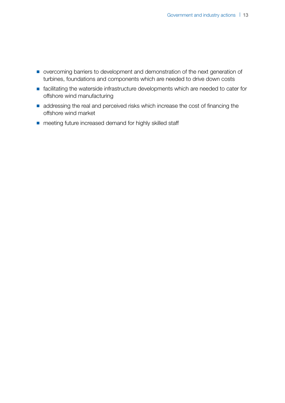- overcoming barriers to development and demonstration of the next generation of turbines, foundations and components which are needed to drive down costs
- facilitating the waterside infrastructure developments which are needed to cater for offshore wind manufacturing
- addressing the real and perceived risks which increase the cost of financing the offshore wind market
- meeting future increased demand for highly skilled staff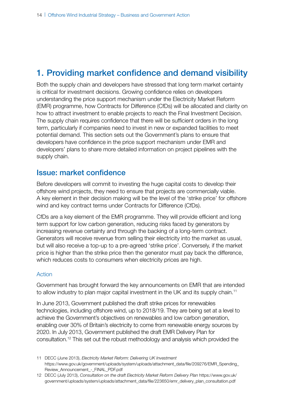## <span id="page-14-0"></span>1. Providing market confidence and demand visibility

Both the supply chain and developers have stressed that long term market certainty is critical for investment decisions. Growing confidence relies on developers understanding the price support mechanism under the Electricity Market Reform (EMR) programme, how Contracts for Difference (CfDs) will be allocated and clarity on how to attract investment to enable projects to reach the Final Investment Decision. The supply chain requires confidence that there will be sufficient orders in the long term, particularly if companies need to invest in new or expanded facilities to meet potential demand. This section sets out the Government's plans to ensure that developers have confidence in the price support mechanism under EMR and developers' plans to share more detailed information on project pipelines with the supply chain.

## Issue: market confidence

Before developers will commit to investing the huge capital costs to develop their offshore wind projects, they need to ensure that projects are commercially viable. A key element in their decision making will be the level of the 'strike price' for offshore wind and key contract terms under Contracts for Difference (CfDs).

CfDs are a key element of the EMR programme. They will provide efficient and long term support for low carbon generation, reducing risks faced by generators by increasing revenue certainty and through the backing of a long-term contract. Generators will receive revenue from selling their electricity into the market as usual, but will also receive a top-up to a pre-agreed 'strike price'. Conversely, if the market price is higher than the strike price then the generator must pay back the difference, which reduces costs to consumers when electricity prices are high.

#### Action

Government has brought forward the key announcements on EMR that are intended to allow industry to plan major capital investment in the UK and its supply chain.<sup>11</sup>

In June 2013, Government published the draft strike prices for renewables technologies, including offshore wind, up to 2018/19. They are being set at a level to achieve the Government's objectives on renewables and low carbon generation, enabling over 30% of Britain's electricity to come from renewable energy sources by 2020. In July 2013, Government published the draft EMR Delivery Plan for consultation.12 This set out the robust methodology and analysis which provided the

<sup>11</sup> DECC (June 2013), *Electricity Market Reform: Delivering UK Investment* [https://www.gov.uk/government/uploads/system/uploads/attachment\\_data/file/209276/EMR\\_Spending\\_](https://www.gov.uk/government/uploads/system/uploads/attachment_data/file/209276/EMR_Spending_Review_Announcement_-_FINAL_PDF.pdf) [Review\\_Announcement\\_-\\_FINAL\\_PDF.pdf](https://www.gov.uk/government/uploads/system/uploads/attachment_data/file/209276/EMR_Spending_Review_Announcement_-_FINAL_PDF.pdf)

<sup>12</sup> DECC (July 2013), *Consultation on the draft Electricity Market Reform Delivery Plan* [https://www.gov.uk/](https://www.gov.uk/government/uploads/system/uploads/attachment_data/file/223650/emr_delivery_plan_consultation.pdf) [government/uploads/system/uploads/attachment\\_data/file/223650/emr\\_delivery\\_plan\\_consultation.pdf](https://www.gov.uk/government/uploads/system/uploads/attachment_data/file/223650/emr_delivery_plan_consultation.pdf)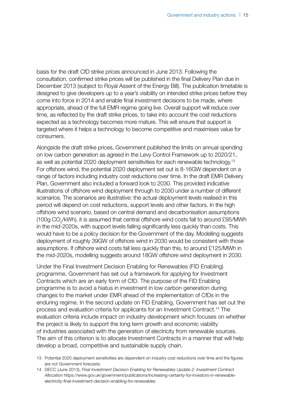basis for the draft CfD strike prices announced in June 2013. Following the consultation, confirmed strike prices will be published in the final Delivery Plan due in December 2013 (subject to Royal Assent of the Energy Bill). The publication timetable is designed to give developers up to a year's visibility on intended strike prices before they come into force in 2014 and enable final investment decisions to be made, where appropriate, ahead of the full EMR regime going live. Overall support will reduce over time, as reflected by the draft strike prices, to take into account the cost reductions expected as a technology becomes more mature. This will ensure that support is targeted where it helps a technology to become competitive and maximises value for consumers.

Alongside the draft strike prices, Government published the limits on annual spending on low carbon generation as agreed in the Levy Control Framework up to 2020/21, as well as potential 2020 deployment sensitivities for each renewable technology.13 For offshore wind, the potential 2020 deployment set out is 8-16GW dependent on a range of factors including industry cost reductions over time. In the draft EMR Delivery Plan, Government also included a forward look to 2030. This provided indicative illustrations of offshore wind deployment through to 2030 under a number of different scenarios. The scenarios are illustrative: the actual deployment levels realised in this period will depend on cost reductions, support levels and other factors. In the high offshore wind scenario, based on central demand and decarbonisation assumptions (100g CO<sub>2</sub>/kWh), it is assumed that central offshore wind costs fall to around £95/MWh in the mid-2020s, with support levels falling significantly less quickly than costs. This would have to be a policy decision for the Government of the day. Modelling suggests deployment of roughly 39GW of offshore wind in 2030 would be consistent with those assumptions. If offshore wind costs fall less quickly than this, to around £125/MWh in the mid-2020s, modelling suggests around 18GW offshore wind deployment in 2030.

Under the Final Investment Decision Enabling for Renewables (FID Enabling) programme, Government has set out a framework for applying for Investment Contracts which are an early form of CfD. The purpose of the FID Enabling programme is to avoid a hiatus in investment in low carbon generation during changes to the market under EMR ahead of the implementation of CfDs in the enduring regime. In the second update on FID Enabling, Government has set out the process and evaluation criteria for applicants for an Investment Contract.14 The evaluation criteria include impact on industry development which focuses on whether the project is likely to support the long term growth and economic viability of industries associated with the generation of electricity from renewable sources. The aim of this criterion is to allocate Investment Contracts in a manner that will help develop a broad, competitive and sustainable supply chain.

<sup>13</sup> Potential 2020 deployment sensitivities are dependent on industry cost reductions over time and the figures are not Government forecasts

<sup>14</sup> DECC (June 2013), *Final Investment Decision Enabling for Renewables Update 2: Investment Contract Allocation* [https://www.gov.uk/government/publications/increasing-certainty-for-investors-in-renewable](https://www.gov.uk/government/publications/increasing-certainty-for-investors-in-renewable-electricity-final-investment-decision-enabling-for-renewables)[electricity-final-investment-decision-enabling-for-renewables](https://www.gov.uk/government/publications/increasing-certainty-for-investors-in-renewable-electricity-final-investment-decision-enabling-for-renewables)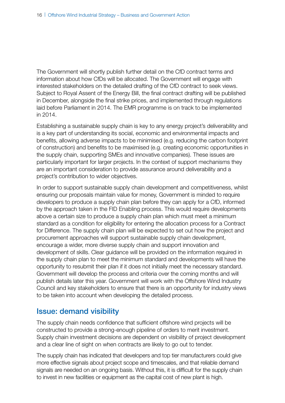The Government will shortly publish further detail on the CfD contract terms and information about how CfDs will be allocated. The Government will engage with interested stakeholders on the detailed drafting of the CfD contract to seek views. Subject to Royal Assent of the Energy Bill, the final contract drafting will be published in December, alongside the final strike prices, and implemented through regulations laid before Parliament in 2014. The EMR programme is on track to be implemented in 2014.

Establishing a sustainable supply chain is key to any energy project's deliverability and is a key part of understanding its social, economic and environmental impacts and benefits, allowing adverse impacts to be minimised (e.g. reducing the carbon footprint of construction) and benefits to be maximised (e.g. creating economic opportunities in the supply chain, supporting SMEs and innovative companies). These issues are particularly important for larger projects. In the context of support mechanisms they are an important consideration to provide assurance around deliverability and a project's contribution to wider objectives.

In order to support sustainable supply chain development and competitiveness, whilst ensuring our proposals maintain value for money, Government is minded to require developers to produce a supply chain plan before they can apply for a CfD, informed by the approach taken in the FID Enabling process. This would require developments above a certain size to produce a supply chain plan which must meet a minimum standard as a condition for eligibility for entering the allocation process for a Contract for Difference. The supply chain plan will be expected to set out how the project and procurement approaches will support sustainable supply chain development, encourage a wider, more diverse supply chain and support innovation and development of skills. Clear guidance will be provided on the information required in the supply chain plan to meet the minimum standard and developments will have the opportunity to resubmit their plan if it does not initially meet the necessary standard. Government will develop the process and criteria over the coming months and will publish details later this year. Government will work with the Offshore Wind Industry Council and key stakeholders to ensure that there is an opportunity for industry views to be taken into account when developing the detailed process.

### Issue: demand visibility

The supply chain needs confidence that sufficient offshore wind projects will be constructed to provide a strong-enough pipeline of orders to merit investment. Supply chain investment decisions are dependent on visibility of project development and a clear line of sight on when contracts are likely to go out to tender.

The supply chain has indicated that developers and top tier manufacturers could give more effective signals about project scope and timescales, and that reliable demand signals are needed on an ongoing basis. Without this, it is difficult for the supply chain to invest in new facilities or equipment as the capital cost of new plant is high.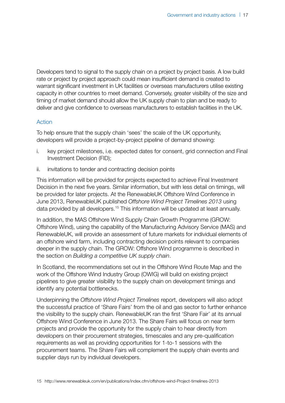Developers tend to signal to the supply chain on a project by project basis. A low build rate or project by project approach could mean insufficient demand is created to warrant significant investment in UK facilities or overseas manufacturers utilise existing capacity in other countries to meet demand. Conversely, greater visibility of the size and timing of market demand should allow the UK supply chain to plan and be ready to deliver and give confidence to overseas manufacturers to establish facilities in the UK.

#### Action

To help ensure that the supply chain 'sees' the scale of the UK opportunity, developers will provide a project-by-project pipeline of demand showing:

- i. key project milestones, i.e. expected dates for consent, grid connection and Final Investment Decision (FID);
- ii. invitations to tender and contracting decision points

This information will be provided for projects expected to achieve Final Investment Decision in the next five years. Similar information, but with less detail on timings, will be provided for later projects. At the RenewableUK Offshore Wind Conference in June 2013, RenewableUK published *Offshore Wind Project Timelines 2013* using data provided by all developers.15 This information will be updated at least annually.

In addition, the MAS Offshore Wind Supply Chain Growth Programme (GROW: Offshore Wind), using the capability of the Manufacturing Advisory Service (MAS) and RenewableUK, will provide an assessment of future markets for individual elements of an offshore wind farm, including contracting decision points relevant to companies deeper in the supply chain. The GROW: Offshore Wind programme is described in the section on *Building a competitive UK supply chain*.

In Scotland, the recommendations set out in the Offshore Wind Route Map and the work of the Offshore Wind Industry Group (OWIG) will build on existing project pipelines to give greater visibility to the supply chain on development timings and identify any potential bottlenecks.

Underpinning the *Offshore Wind Project Timelines* report, developers will also adopt the successful practice of 'Share Fairs' from the oil and gas sector to further enhance the visibility to the supply chain. RenewableUK ran the first 'Share Fair' at its annual Offshore Wind Conference in June 2013. The Share Fairs will focus on near term projects and provide the opportunity for the supply chain to hear directly from developers on their procurement strategies, timescales and any pre-qualification requirements as well as providing opportunities for 1-to-1 sessions with the procurement teams. The Share Fairs will complement the supply chain events and supplier days run by individual developers.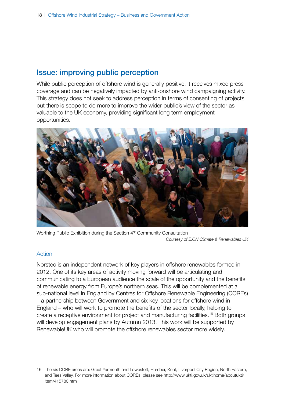## Issue: improving public perception

While public perception of offshore wind is generally positive, it receives mixed press coverage and can be negatively impacted by anti-onshore wind campaigning activity. This strategy does not seek to address perception in terms of consenting of projects but there is scope to do more to improve the wider public's view of the sector as valuable to the UK economy, providing significant long term employment opportunities.



Worthing Public Exhibition during the Section 47 Community Consultation *Courtesy of E.ON Climate & Renewables UK*

#### Action

Norstec is an independent network of key players in offshore renewables formed in 2012. One of its key areas of activity moving forward will be articulating and communicating to a European audience the scale of the opportunity and the benefits of renewable energy from Europe's northern seas. This will be complemented at a sub-national level in England by Centres for Offshore Renewable Engineering (COREs) – a partnership between Government and six key locations for offshore wind in England – who will work to promote the benefits of the sector locally, helping to create a receptive environment for project and manufacturing facilities.16 Both groups will develop engagement plans by Autumn 2013. This work will be supported by RenewableUK who will promote the offshore renewables sector more widely.

<sup>16</sup> The six CORE areas are: Great Yarmouth and Lowestoft, Humber, Kent, Liverpool City Region, North Eastern, and Tees Valley. For more information about COREs, please see [http://www.ukti.gov.uk/uktihome/aboutukti/](http://www.ukti.gov.uk/uktihome/aboutukti/item/415780.html) [item/415780.html](http://www.ukti.gov.uk/uktihome/aboutukti/item/415780.html)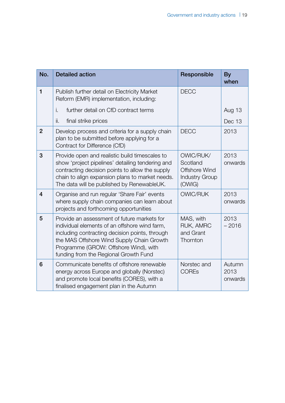| No.            | <b>Detailed action</b>                                                                                                                                                                                                                                                        | Responsible                                                                      | By<br>when                |
|----------------|-------------------------------------------------------------------------------------------------------------------------------------------------------------------------------------------------------------------------------------------------------------------------------|----------------------------------------------------------------------------------|---------------------------|
| 1              | Publish further detail on Electricity Market<br>Reform (EMR) implementation, including:                                                                                                                                                                                       | <b>DECC</b>                                                                      |                           |
|                | further detail on CfD contract terms<br>i.                                                                                                                                                                                                                                    |                                                                                  | Aug 13                    |
|                | final strike prices<br>ii.                                                                                                                                                                                                                                                    |                                                                                  | Dec 13                    |
| $\overline{2}$ | Develop process and criteria for a supply chain<br>plan to be submitted before applying for a<br>Contract for Difference (CfD)                                                                                                                                                | <b>DECC</b>                                                                      | 2013                      |
| 3              | Provide open and realistic build timescales to<br>show 'project pipelines' detailing tendering and<br>contracting decision points to allow the supply<br>chain to align expansion plans to market needs.<br>The data will be published by RenewableUK.                        | OWIC/RUK/<br>Scotland<br><b>Offshore Wind</b><br><b>Industry Group</b><br>(OWIG) | 2013<br>onwards           |
| $\overline{4}$ | Organise and run regular 'Share Fair' events<br>where supply chain companies can learn about<br>projects and forthcoming opportunities                                                                                                                                        | <b>OWIC/RUK</b>                                                                  | 2013<br>onwards           |
| 5              | Provide an assessment of future markets for<br>individual elements of an offshore wind farm,<br>including contracting decision points, through<br>the MAS Offshore Wind Supply Chain Growth<br>Programme (GROW: Offshore Wind), with<br>funding from the Regional Growth Fund | MAS, with<br>RUK, AMRC<br>and Grant<br>Thornton                                  | 2013<br>$-2016$           |
| 6              | Communicate benefits of offshore renewable<br>energy across Europe and globally (Norstec)<br>and promote local benefits (CORES), with a<br>finalised engagement plan in the Autumn                                                                                            | Norstec and<br><b>COREs</b>                                                      | Autumn<br>2013<br>onwards |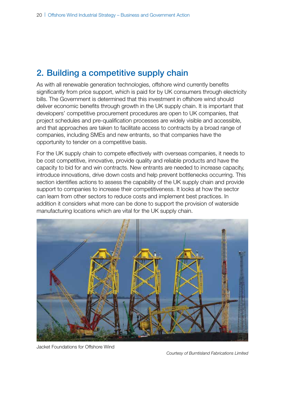## <span id="page-20-0"></span>2. Building a competitive supply chain

As with all renewable generation technologies, offshore wind currently benefits significantly from price support, which is paid for by UK consumers through electricity bills. The Government is determined that this investment in offshore wind should deliver economic benefits through growth in the UK supply chain. It is important that developers' competitive procurement procedures are open to UK companies, that project schedules and pre-qualification processes are widely visible and accessible, and that approaches are taken to facilitate access to contracts by a broad range of companies, including SMEs and new entrants, so that companies have the opportunity to tender on a competitive basis.

For the UK supply chain to compete effectively with overseas companies, it needs to be cost competitive, innovative, provide quality and reliable products and have the capacity to bid for and win contracts. New entrants are needed to increase capacity, introduce innovations, drive down costs and help prevent bottlenecks occurring. This section identifies actions to assess the capability of the UK supply chain and provide support to companies to increase their competitiveness. It looks at how the sector can learn from other sectors to reduce costs and implement best practices. In addition it considers what more can be done to support the provision of waterside manufacturing locations which are vital for the UK supply chain.



Jacket Foundations for Offshore Wind

*Courtesy of Burntisland Fabrications Limited*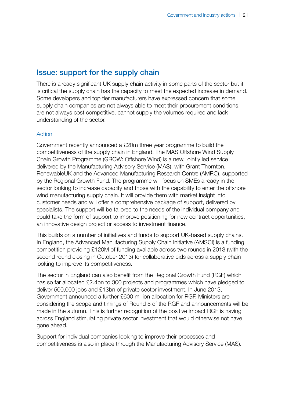## Issue: support for the supply chain

There is already significant UK supply chain activity in some parts of the sector but it is critical the supply chain has the capacity to meet the expected increase in demand. Some developers and top tier manufacturers have expressed concern that some supply chain companies are not always able to meet their procurement conditions, are not always cost competitive, cannot supply the volumes required and lack understanding of the sector.

#### Action

Government recently announced a £20m three year programme to build the competitiveness of the supply chain in England. The MAS Offshore Wind Supply Chain Growth Programme (GROW: Offshore Wind) is a new, jointly led service delivered by the Manufacturing Advisory Service (MAS), with Grant Thornton, RenewableUK and the Advanced Manufacturing Research Centre (AMRC), supported by the Regional Growth Fund. The programme will focus on SMEs already in the sector looking to increase capacity and those with the capability to enter the offshore wind manufacturing supply chain. It will provide them with market insight into customer needs and will offer a comprehensive package of support, delivered by specialists. The support will be tailored to the needs of the individual company and could take the form of support to improve positioning for new contract opportunities, an innovative design project or access to investment finance.

This builds on a number of initiatives and funds to support UK-based supply chains. In England, the Advanced Manufacturing Supply Chain Initiative (AMSCI) is a funding competition providing £120M of funding available across two rounds in 2013 (with the second round closing in October 2013) for collaborative bids across a supply chain looking to improve its competitiveness.

The sector in England can also benefit from the Regional Growth Fund (RGF) which has so far allocated £2.4bn to 300 projects and programmes which have pledged to deliver 500,000 jobs and £13bn of private sector investment. In June 2013, Government announced a further £600 million allocation for RGF. Ministers are considering the scope and timings of Round 5 of the RGF and announcements will be made in the autumn. This is further recognition of the positive impact RGF is having across England stimulating private sector investment that would otherwise not have gone ahead.

Support for individual companies looking to improve their processes and competitiveness is also in place through the Manufacturing Advisory Service (MAS).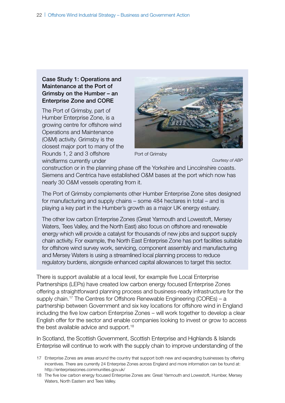#### Case Study 1: Operations and Maintenance at the Port of Grimsby on the Humber – an Enterprise Zone and CORE

The Port of Grimsby, part of Humber Enterprise Zone, is a growing centre for offshore wind Operations and Maintenance (O&M) activity. Grimsby is the closest major port to many of the Rounds 1, 2 and 3 offshore windfarms currently under



Port of Grimsby

*Courtesy of ABP*

construction or in the planning phase off the Yorkshire and Lincolnshire coasts. Siemens and Centrica have established O&M bases at the port which now has nearly 30 O&M vessels operating from it.

The Port of Grimsby complements other Humber Enterprise Zone sites designed for manufacturing and supply chains – some 484 hectares in total – and is playing a key part in the Humber's growth as a major UK energy estuary.

The other low carbon Enterprise Zones (Great Yarmouth and Lowestoft, Mersey Waters, Tees Valley, and the North East) also focus on offshore and renewable energy which will provide a catalyst for thousands of new jobs and support supply chain activity. For example, the North East Enterprise Zone has port facilities suitable for offshore wind survey work, servicing, component assembly and manufacturing and Mersey Waters is using a streamlined local planning process to reduce regulatory burdens, alongside enhanced capital allowances to target this sector.

There is support available at a local level, for example five Local Enterprise Partnerships (LEPs) have created low carbon energy focused Enterprise Zones offering a straightforward planning process and business-ready infrastructure for the supply chain.<sup>17</sup> The Centres for Offshore Renewable Engineering (COREs) – a partnership between Government and six key locations for offshore wind in England including the five low carbon Enterprise Zones – will work together to develop a clear English offer for the sector and enable companies looking to invest or grow to access the best available advice and support.<sup>18</sup>

In Scotland, the Scottish Government, Scottish Enterprise and Highlands & Islands Enterprise will continue to work with the supply chain to improve understanding of the

<sup>17</sup> Enterprise Zones are areas around the country that support both new and expanding businesses by offering incentives. There are currently 24 Enterprise Zones across England and more information can be found at: http://enterprisezones.communities.gov.uk/

<sup>18</sup> The five low carbon energy focused Enterprise Zones are: Great Yarmouth and Lowestoft, Humber, Mersey Waters, North Eastern and Tees Valley.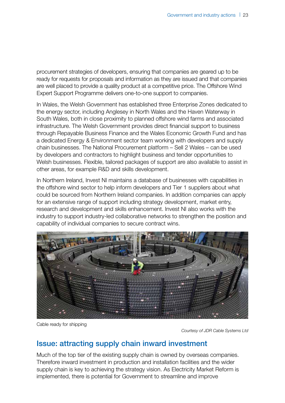procurement strategies of developers, ensuring that companies are geared up to be ready for requests for proposals and information as they are issued and that companies are well placed to provide a quality product at a competitive price. The Offshore Wind Expert Support Programme delivers one-to-one support to companies.

In Wales, the Welsh Government has established three Enterprise Zones dedicated to the energy sector, including Anglesey in North Wales and the Haven Waterway in South Wales, both in close proximity to planned offshore wind farms and associated infrastructure. The Welsh Government provides direct financial support to business through Repayable Business Finance and the Wales Economic Growth Fund and has a dedicated Energy & Environment sector team working with developers and supply chain businesses. The National Procurement platform – Sell 2 Wales – can be used by developers and contractors to highlight business and tender opportunities to Welsh businesses. Flexible, tailored packages of support are also available to assist in other areas, for example R&D and skills development.

In Northern Ireland, Invest NI maintains a database of businesses with capabilities in the offshore wind sector to help inform developers and Tier 1 suppliers about what could be sourced from Northern Ireland companies. In addition companies can apply for an extensive range of support including strategy development, market entry, research and development and skills enhancement. Invest NI also works with the industry to support industry-led collaborative networks to strengthen the position and capability of individual companies to secure contract wins.



Cable ready for shipping

*Courtesy of JDR Cable Systems Ltd*

### Issue: attracting supply chain inward investment

Much of the top tier of the existing supply chain is owned by overseas companies. Therefore inward investment in production and installation facilities and the wider supply chain is key to achieving the strategy vision. As Electricity Market Reform is implemented, there is potential for Government to streamline and improve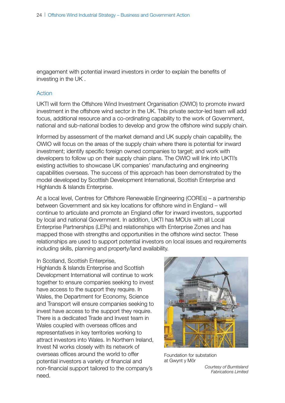engagement with potential inward investors in order to explain the benefits of investing in the UK .

#### Action

UKTI will form the Offshore Wind Investment Organisation (OWIO) to promote inward investment in the offshore wind sector in the UK. This private sector-led team will add focus, additional resource and a co-ordinating capability to the work of Government, national and sub-national bodies to develop and grow the offshore wind supply chain.

Informed by assessment of the market demand and UK supply chain capability, the OWIO will focus on the areas of the supply chain where there is potential for inward investment; identify specific foreign owned companies to target; and work with developers to follow up on their supply chain plans. The OWIO will link into UKTI's existing activities to showcase UK companies' manufacturing and engineering capabilities overseas. The success of this approach has been demonstrated by the model developed by Scottish Development International, Scottish Enterprise and Highlands & Islands Enterprise.

At a local level, Centres for Offshore Renewable Engineering (COREs) – a partnership between Government and six key locations for offshore wind in England – will continue to articulate and promote an England offer for inward investors, supported by local and national Government. In addition, UKTI has MOUs with all Local Enterprise Partnerships (LEPs) and relationships with Enterprise Zones and has mapped those with strengths and opportunities in the offshore wind sector. These relationships are used to support potential investors on local issues and requirements including skills, planning and property/land availability.

#### In Scotland, Scottish Enterprise,

Highlands & Islands Enterprise and Scottish Development International will continue to work together to ensure companies seeking to invest have access to the support they require. In Wales, the Department for Economy, Science and Transport will ensure companies seeking to invest have access to the support they require. There is a dedicated Trade and Invest team in Wales coupled with overseas offices and representatives in key territories working to attract investors into Wales. In Northern Ireland, Invest NI works closely with its network of overseas offices around the world to offer potential investors a variety of financial and non-financial support tailored to the company's need.



Foundation for substation at Gwynt y Môr

*Courtesy of Burntisland Fabrications Limited*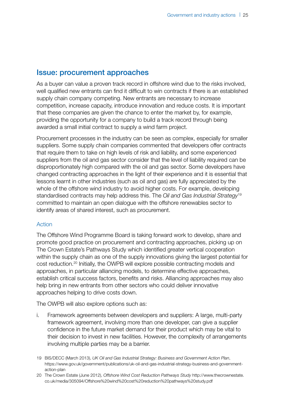### Issue: procurement approaches

As a buyer can value a proven track record in offshore wind due to the risks involved, well qualified new entrants can find it difficult to win contracts if there is an established supply chain company competing. New entrants are necessary to increase competition, increase capacity, introduce innovation and reduce costs. It is important that these companies are given the chance to enter the market by, for example, providing the opportunity for a company to build a track record through being awarded a small initial contract to supply a wind farm project.

Procurement processes in the industry can be seen as complex, especially for smaller suppliers. Some supply chain companies commented that developers offer contracts that require them to take on high levels of risk and liability, and some experienced suppliers from the oil and gas sector consider that the level of liability required can be disproportionately high compared with the oil and gas sector. Some developers have changed contracting approaches in the light of their experience and it is essential that lessons learnt in other industries (such as oil and gas) are fully appreciated by the whole of the offshore wind industry to avoid higher costs. For example, developing standardised contracts may help address this. The *Oil and Gas Industrial Strategy*<sup>19</sup> committed to maintain an open dialogue with the offshore renewables sector to identify areas of shared interest, such as procurement.

#### Action

The Offshore Wind Programme Board is taking forward work to develop, share and promote good practice on procurement and contracting approaches, picking up on The Crown Estate's Pathways Study which identified greater vertical cooperation within the supply chain as one of the supply innovations giving the largest potential for cost reduction.20 Initially, the OWPB will explore possible contracting models and approaches, in particular alliancing models, to determine effective approaches, establish critical success factors, benefits and risks. Alliancing approaches may also help bring in new entrants from other sectors who could deliver innovative approaches helping to drive costs down.

The OWPB will also explore options such as:

- i. Framework agreements between developers and suppliers: A large, multi-party framework agreement, involving more than one developer, can give a supplier confidence in the future market demand for their product which may be vital to their decision to invest in new facilities. However, the complexity of arrangements involving multiple parties may be a barrier.
- 19 BIS/DECC (March 2013), *UK Oil and Gas Industrial Strategy: Business and Government Action Plan*, [https://www.gov.uk/government/publications/uk-oil-and-gas-industrial-strategy-business-and-government](https://www.gov.uk/government/publications/uk-oil-and-gas-industrial-strategy-business-and-government-action-plan)[action-plan](https://www.gov.uk/government/publications/uk-oil-and-gas-industrial-strategy-business-and-government-action-plan)
- 20 The Crown Estate (June 2012), *Offshore Wind Cost Reduction Pathways Study* [http://www.thecrownestate.](http://www.thecrownestate.co.uk/media/305094/Offshore%20wind%20cost%20reduction%20pathways%20study.pdf) [co.uk/media/305094/Offshore%20wind%20cost%20reduction%20pathways%20study.pdf](http://www.thecrownestate.co.uk/media/305094/Offshore%20wind%20cost%20reduction%20pathways%20study.pdf)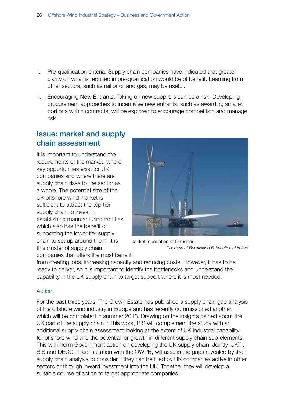- ii. Pre-qualification criteria: Supply chain companies have indicated that greater clarity on what is required in pre-qualification would be of benefit. Learning from other sectors, such as rail or oil and gas, may be useful.
- iii. Encouraging New Entrants: Taking on new suppliers can be a risk. Developing procurement approaches to incentivise new entrants, such as awarding smaller portions within contracts, will be explored to encourage competition and manage risk.

## Issue: market and supply chain assessment

It is important to understand the requirements of the market, where key opportunities exist for UK companies and where there are supply chain risks to the sector as a whole. The potential size of the UK offshore wind market is sufficient to attract the top tier supply chain to invest in establishing manufacturing facilities which also has the benefit of supporting the lower tier supply chain to set up around them. It is this cluster of supply chain companies that offers the most benefit



Jacket foundation at Ormonde *Courtesy of Burntisland Fabrications Limited*

from creating jobs, increasing capacity and reducing costs. However, it has to be ready to deliver, so it is important to identify the bottlenecks and understand the capability in the UK supply chain to target support where it is most needed.

#### Action

For the past three years, The Crown Estate has published a supply chain gap analysis of the offshore wind industry in Europe and has recently commissioned another, which will be completed in summer 2013. Drawing on the insights gained about the UK part of the supply chain in this work, BIS will complement the study with an additional supply chain assessment looking at the extent of UK industrial capability for offshore wind and the potential for growth in different supply chain sub-elements. This will inform Government action on developing the UK supply chain. Jointly, UKTI, BIS and DECC, in consultation with the OWPB, will assess the gaps revealed by the supply chain analysis to consider if they can be filled by UK companies active in other sectors or through inward investment into the UK. Together they will develop a suitable course of action to target appropriate companies.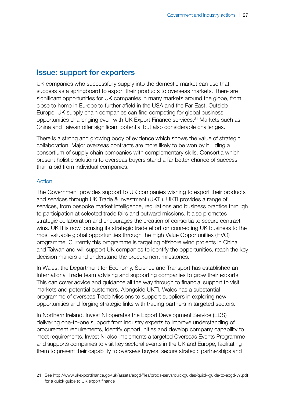## Issue: support for exporters

UK companies who successfully supply into the domestic market can use that success as a springboard to export their products to overseas markets. There are significant opportunities for UK companies in many markets around the globe, from close to home in Europe to further afield in the USA and the Far East. Outside Europe, UK supply chain companies can find competing for global business opportunities challenging even with UK Export Finance services.21 Markets such as China and Taiwan offer significant potential but also considerable challenges.

There is a strong and growing body of evidence which shows the value of strategic collaboration. Major overseas contracts are more likely to be won by building a consortium of supply chain companies with complementary skills. Consortia which present holistic solutions to overseas buyers stand a far better chance of success than a bid from individual companies.

#### Action

The Government provides support to UK companies wishing to export their products and services through UK Trade & Investment (UKTI). UKTI provides a range of services, from bespoke market intelligence, regulations and business practice through to participation at selected trade fairs and outward missions. It also promotes strategic collaboration and encourages the creation of consortia to secure contract wins. UKTI is now focusing its strategic trade effort on connecting UK business to the most valuable global opportunities through the High Value Opportunities (HVO) programme. Currently this programme is targeting offshore wind projects in China and Taiwan and will support UK companies to identify the opportunities, reach the key decision makers and understand the procurement milestones.

In Wales, the Department for Economy, Science and Transport has established an International Trade team advising and supporting companies to grow their exports. This can cover advice and guidance all the way through to financial support to visit markets and potential customers. Alongside UKTI, Wales has a substantial programme of overseas Trade Missions to support suppliers in exploring new opportunities and forging strategic links with trading partners in targeted sectors.

In Northern Ireland, Invest NI operates the Export Development Service (EDS) delivering one-to-one support from industry experts to improve understanding of procurement requirements, identify opportunities and develop company capability to meet requirements. Invest NI also implements a targeted Overseas Events Programme and supports companies to visit key sectoral events in the UK and Europe, facilitating them to present their capability to overseas buyers, secure strategic partnerships and

<sup>21</sup> See <http://www.ukexportfinance.gov.uk/assets/ecgd/files/prods-servs/quickguides/quick-guide-to-ecgd-v7.pdf> for a quick quide to UK export finance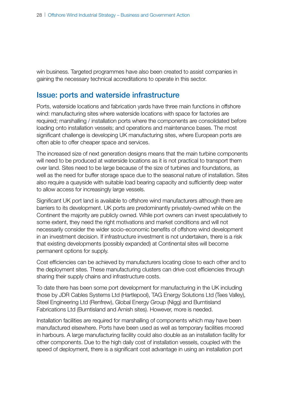win business. Targeted programmes have also been created to assist companies in gaining the necessary technical accreditations to operate in this sector.

### Issue: ports and waterside infrastructure

Ports, waterside locations and fabrication yards have three main functions in offshore wind: manufacturing sites where waterside locations with space for factories are required; marshalling / installation ports where the components are consolidated before loading onto installation vessels; and operations and maintenance bases. The most significant challenge is developing UK manufacturing sites, where European ports are often able to offer cheaper space and services.

The increased size of next generation designs means that the main turbine components will need to be produced at waterside locations as it is not practical to transport them over land. Sites need to be large because of the size of turbines and foundations, as well as the need for buffer storage space due to the seasonal nature of installation. Sites also require a quayside with suitable load bearing capacity and sufficiently deep water to allow access for increasingly large vessels.

Significant UK port land is available to offshore wind manufacturers although there are barriers to its development. UK ports are predominantly privately-owned while on the Continent the majority are publicly owned. While port owners can invest speculatively to some extent, they need the right motivations and market conditions and will not necessarily consider the wider socio-economic benefits of offshore wind development in an investment decision. If infrastructure investment is not undertaken, there is a risk that existing developments (possibly expanded) at Continental sites will become permanent options for supply.

Cost efficiencies can be achieved by manufacturers locating close to each other and to the deployment sites. These manufacturing clusters can drive cost efficiencies through sharing their supply chains and infrastructure costs.

To date there has been some port development for manufacturing in the UK including those by JDR Cables Systems Ltd (Hartlepool), TAG Energy Solutions Ltd (Tees Valley), Steel Engineering Ltd (Renfrew), Global Energy Group (Nigg) and Burntisland Fabrications Ltd (Burntisland and Arnish sites). However, more is needed.

Installation facilities are required for marshalling of components which may have been manufactured elsewhere. Ports have been used as well as temporary facilities moored in harbours. A large manufacturing facility could also double as an installation facility for other components. Due to the high daily cost of installation vessels, coupled with the speed of deployment, there is a significant cost advantage in using an installation port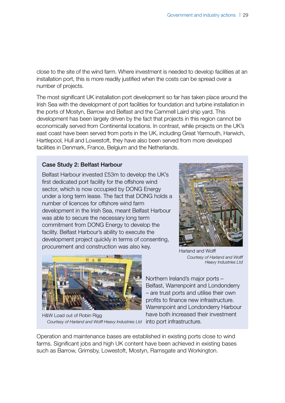close to the site of the wind farm. Where investment is needed to develop facilities at an installation port, this is more readily justified when the costs can be spread over a number of projects.

The most significant UK installation port development so far has taken place around the Irish Sea with the development of port facilities for foundation and turbine installation in the ports of Mostyn, Barrow and Belfast and the Cammell Laird ship yard. This development has been largely driven by the fact that projects in this region cannot be economically served from Continental locations. In contrast, while projects on the UK's east coast have been served from ports in the UK, including Great Yarmouth, Harwich, Hartlepool, Hull and Lowestoft, they have also been served from more developed facilities in Denmark, France, Belgium and the Netherlands.

#### Case Study 2: Belfast Harbour

Belfast Harbour invested £53m to develop the UK's first dedicated port facility for the offshore wind sector, which is now occupied by DONG Energy under a long term lease. The fact that DONG holds a number of licences for offshore wind farm development in the Irish Sea, meant Belfast Harbour was able to secure the necessary long term commitment from DONG Energy to develop the facility. Belfast Harbour's ability to execute the development project quickly in terms of consenting, procurement and construction was also key.<br>Harland and Wolff





H&W Load out of Robin Rigg *Courtesy of Harland and Wolff Heavy Industries Ltd*

*Courtesy of Harland and Wolff Heavy Industries Ltd*

 Northern Ireland's major ports – Belfast, Warrenpoint and Londonderry – are trust ports and utilise their own profits to finance new infrastructure. Warrenpoint and Londonderry Harbour have both increased their investment into port infrastructure.

Operation and maintenance bases are established in existing ports close to wind farms. Significant jobs and high UK content have been achieved in existing bases such as Barrow, Grimsby, Lowestoft, Mostyn, Ramsgate and Workington.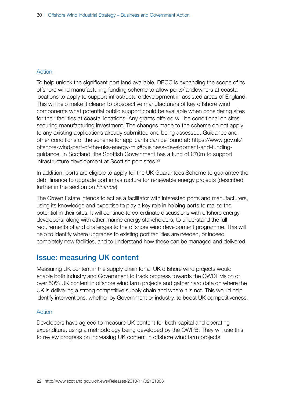#### Action

To help unlock the significant port land available, DECC is expanding the scope of its offshore wind manufacturing funding scheme to allow ports/landowners at coastal locations to apply to support infrastructure development in assisted areas of England. This will help make it clearer to prospective manufacturers of key offshore wind components what potential public support could be available when considering sites for their facilities at coastal locations. Any grants offered will be conditional on sites securing manufacturing investment. The changes made to the scheme do not apply to any existing applications already submitted and being assessed. Guidance and other conditions of the scheme for applicants can be found at: [https://www.gov.uk/](https://www.gov.uk/offshore-wind-part-of-the-uks-energy-mix#business-development-and-funding-guidance) [offshore-wind-part-of-the-uks-energy-mix#business-development-and-funding](https://www.gov.uk/offshore-wind-part-of-the-uks-energy-mix#business-development-and-funding-guidance)[guidance.](https://www.gov.uk/offshore-wind-part-of-the-uks-energy-mix#business-development-and-funding-guidance) In Scotland, the Scottish Government has a fund of £70m to support infrastructure development at Scottish port sites.<sup>22</sup>

In addition, ports are eligible to apply for the UK Guarantees Scheme to guarantee the debt finance to upgrade port infrastructure for renewable energy projects (described further in the section on *Finance*).

The Crown Estate intends to act as a facilitator with interested ports and manufacturers, using its knowledge and expertise to play a key role in helping ports to realise the potential in their sites. It will continue to co-ordinate discussions with offshore energy developers, along with other marine energy stakeholders, to understand the full requirements of and challenges to the offshore wind development programme. This will help to identify where upgrades to existing port facilities are needed, or indeed completely new facilities, and to understand how these can be managed and delivered.

### Issue: measuring UK content

Measuring UK content in the supply chain for all UK offshore wind projects would enable both industry and Government to track progress towards the OWDF vision of over 50% UK content in offshore wind farm projects and gather hard data on where the UK is delivering a strong competitive supply chain and where it is not. This would help identify interventions, whether by Government or industry, to boost UK competitiveness.

#### Action

Developers have agreed to measure UK content for both capital and operating expenditure, using a methodology being developed by the OWPB. They will use this to review progress on increasing UK content in offshore wind farm projects.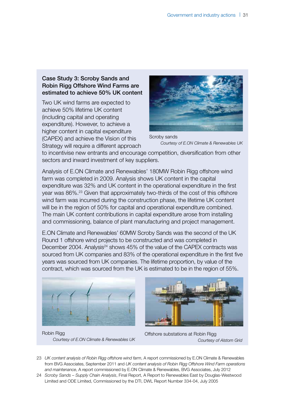#### Case Study 3: Scroby Sands and Robin Rigg Offshore Wind Farms are estimated to achieve 50% UK content

Two UK wind farms are expected to achieve 50% lifetime UK content (including capital and operating expenditure). However, to achieve a higher content in capital expenditure (CAPEX) and achieve the Vision of this Strategy will require a different approach



Scroby sands *Courtesy of E.ON Climate & Renewables UK*

to incentivise new entrants and encourage competition, diversification from other sectors and inward investment of key suppliers.

Analysis of E.ON Climate and Renewables' 180MW Robin Rigg offshore wind farm was completed in 2009. Analysis shows UK content in the capital expenditure was 32% and UK content in the operational expenditure in the first year was 86%.23 Given that approximately two-thirds of the cost of this offshore wind farm was incurred during the construction phase, the lifetime UK content will be in the region of 50% for capital and operational expenditure combined. The main UK content contributions in capital expenditure arose from installing and commissioning, balance of plant manufacturing and project management.

E.ON Climate and Renewables' 60MW Scroby Sands was the second of the UK Round 1 offshore wind projects to be constructed and was completed in December 2004. Analysis<sup>24</sup> shows 45% of the value of the CAPEX contracts was sourced from UK companies and 83% of the operational expenditure in the first five years was sourced from UK companies. The lifetime proportion, by value of the contract, which was sourced from the UK is estimated to be in the region of 55%.



Robin Rigg *Courtesy of E.ON Climate & Renewables UK*



Offshore substations at Robin Rigg *Courtesy of Alstom Grid*

- 23 *UK content analysis of Robin Rigg offshore wind farm*, A report commissioned by E.ON Climate & Renewables from BVG Associates, September 2011 and *UK content analysis of Robin Rigg Offshore Wind Farm operations and maintenance*, A report commissioned by E.ON Climate & Renewables, BVG Associates, July 2012
- 24 *Scroby Sands Supply Chain Analysis*, Final Report, A Report to Renewables East by Douglas-Westwood Limited and ODE Limited, Commissioned by the DTI, DWL Report Number 334-04, July 2005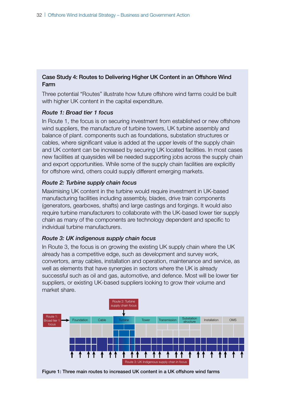#### Case Study 4: Routes to Delivering Higher UK Content in an Offshore Wind Farm

Three potential "Routes" illustrate how future offshore wind farms could be built with higher UK content in the capital expenditure.

#### *Route 1: Broad tier 1 focus*

In Route 1, the focus is on securing investment from established or new offshore wind suppliers, the manufacture of turbine towers, UK turbine assembly and balance of plant. components such as foundations, substation structures or cables, where significant value is added at the upper levels of the supply chain and UK content can be increased by securing UK located facilities. In most cases new facilities at quaysides will be needed supporting jobs across the supply chain and export opportunities. While some of the supply chain facilities are explicitly for offshore wind, others could supply different emerging markets.

#### *Route 2: Turbine supply chain focus*

Maximising UK content in the turbine would require investment in UK-based manufacturing facilities including assembly, blades, drive train components (generators, gearboxes, shafts) and large castings and forgings. It would also require turbine manufacturers to collaborate with the UK-based lower tier supply chain as many of the components are technology dependent and specific to individual turbine manufacturers.

#### *Route 3: UK indigenous supply chain focus*

In Route 3, the focus is on growing the existing UK supply chain where the UK already has a competitive edge, such as development and survey work, convertors, array cables, installation and operation, maintenance and service, as well as elements that have synergies in sectors where the UK is already successful such as oil and gas, automotive, and defence. Most will be lower tier suppliers, or existing UK-based suppliers looking to grow their volume and market share.



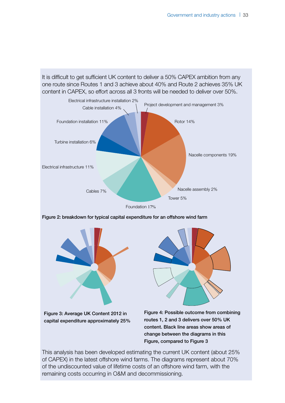It is difficult to get sufficient UK content to deliver a 50% CAPEX ambition from any one route since Routes 1 and 3 achieve about 40% and Route 2 achieves 35% UK content in CAPEX, so effort across all 3 fronts will be needed to deliver over 50%.



Foundation 17%

Figure 2: breakdown for typical capital expenditure for an offshore wind farm



Figure 3: Average UK Content 2012 in capital expenditure approximately 25%



Figure 4: Possible outcome from combining routes 1, 2 and 3 delivers over 50% UK content. Black line areas show areas of change between the diagrams in this Figure, compared to Figure 3

This analysis has been developed estimating the current UK content (about 25% of CAPEX) in the latest offshore wind farms. The diagrams represent about 70% of the undiscounted value of lifetime costs of an offshore wind farm, with the remaining costs occurring in O&M and decommissioning.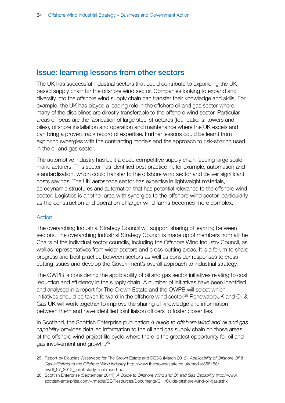## Issue: learning lessons from other sectors

The UK has successful industrial sectors that could contribute to expanding the UKbased supply chain for the offshore wind sector. Companies looking to expand and diversify into the offshore wind supply chain can transfer their knowledge and skills. For example, the UK has played a leading role in the offshore oil and gas sector where many of the disciplines are directly transferable to the offshore wind sector. Particular areas of focus are the fabrication of large steel structures (foundations, towers and piles), offshore installation and operation and maintenance where the UK excels and can bring a proven track record of expertise. Further lessons could be learnt from exploring synergies with the contracting models and the approach to risk-sharing used in the oil and gas sector.

The automotive industry has built a deep competitive supply chain feeding large scale manufacturers. This sector has identified best practice in, for example, automation and standardisation, which could transfer to the offshore wind sector and deliver significant costs savings. The UK aerospace sector has expertise in lightweight materials, aerodynamic structures and automation that has potential relevance to the offshore wind sector. Logistics is another area with synergies to the offshore wind sector, particularly as the construction and operation of larger wind farms becomes more complex.

#### Action

The overarching Industrial Strategy Council will support sharing of learning between sectors. The overarching Industrial Strategy Council is made up of members from all the Chairs of the individual sector councils, including the Offshore Wind Industry Council, as well as representatives from wider sectors and cross-cutting areas. It is a forum to share progress and best practice between sectors as well as consider responses to crosscutting issues and develop the Government's overall approach to industrial strategy.

The OWPB is considering the applicability of oil and gas sector initiatives relating to cost reduction and efficiency in the supply chain. A number of initiatives have been identified and analysed in a report for The Crown Estate and the OWPB will select which initiatives should be taken forward in the offshore wind sector.25 RenewableUK and Oil & Gas UK will work together to improve the sharing of knowledge and information between them and have identified joint liaison officers to foster closer ties.

In Scotland, the Scottish Enterprise publication *A guide to offshore wind and oil and gas capability* provides detailed information to the oil and gas supply chain on those areas of the offshore wind project life cycle where there is the greatest opportunity for oil and gas involvement and growth.26

<sup>25</sup> Report by Douglas Westwood for The Crown Estate and DECC (March 2012), *Applicability of Offshore Oil & Gas Initiatives to the Offshore Wind Industry* [http://www.thecrownestate.co.uk/media/358188/](http://www.thecrownestate.co.uk/media/358188/owdf_07_2012_-pilot-study-final-report.pdf) [owdf\\_07\\_2012\\_-pilot-study-final-report.pdf](http://www.thecrownestate.co.uk/media/358188/owdf_07_2012_-pilot-study-final-report.pdf)

<sup>26</sup> Scottish Enterprise (September 2011), *A Guide to Offshore Wind and Oil and Gas Capability* [http://www.](http://www.scottish-enterprise.com/~/media/SE/Resources/Documents/GHI/Guide-offshore-wind-oil-gas.ashx) [scottish-enterprise.com/~/media/SE/Resources/Documents/GHI/Guide-offshore-wind-oil-gas.ashx](http://www.scottish-enterprise.com/~/media/SE/Resources/Documents/GHI/Guide-offshore-wind-oil-gas.ashx)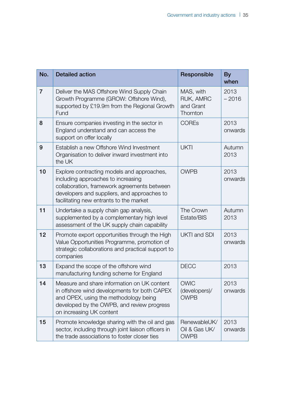| No.            | <b>Detailed action</b>                                                                                                                                                                                                    | Responsible                                     | <b>By</b><br>when |
|----------------|---------------------------------------------------------------------------------------------------------------------------------------------------------------------------------------------------------------------------|-------------------------------------------------|-------------------|
| $\overline{7}$ | Deliver the MAS Offshore Wind Supply Chain<br>Growth Programme (GROW: Offshore Wind),<br>supported by £19.9m from the Regional Growth<br>Fund                                                                             | MAS, with<br>RUK, AMRC<br>and Grant<br>Thornton | 2013<br>$-2016$   |
| 8              | Ensure companies investing in the sector in<br>England understand and can access the<br>support on offer locally                                                                                                          | <b>COREs</b>                                    | 2013<br>onwards   |
| 9              | Establish a new Offshore Wind Investment<br>Organisation to deliver inward investment into<br>the UK                                                                                                                      | <b>UKTI</b>                                     | Autumn<br>2013    |
| 10             | Explore contracting models and approaches,<br>including approaches to increasing<br>collaboration, framework agreements between<br>developers and suppliers, and approaches to<br>facilitating new entrants to the market | <b>OWPB</b>                                     | 2013<br>onwards   |
| 11             | Undertake a supply chain gap analysis,<br>supplemented by a complementary high level<br>assessment of the UK supply chain capability                                                                                      | The Crown<br>Estate/BIS                         | Autumn<br>2013    |
| 12             | Promote export opportunities through the High<br>Value Opportunities Programme, promotion of<br>strategic collaborations and practical support to<br>companies                                                            | <b>UKTI and SDI</b>                             | 2013<br>onwards   |
| 13             | Expand the scope of the offshore wind<br>manufacturing funding scheme for England                                                                                                                                         | <b>DECC</b>                                     | 2013              |
| 14             | Measure and share information on UK content<br>in offshore wind developments for both CAPEX<br>and OPEX, using the methodology being<br>developed by the OWPB, and review progress<br>on increasing UK content            | <b>OWIC</b><br>(developers)/<br><b>OWPB</b>     | 2013<br>onwards   |
| 15             | Promote knowledge sharing with the oil and gas<br>sector, including through joint liaison officers in<br>the trade associations to foster closer ties                                                                     | RenewableUK/<br>Oil & Gas UK/<br><b>OWPB</b>    | 2013<br>onwards   |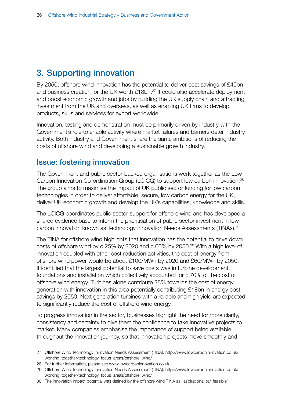# 3. Supporting innovation

By 2050, offshore wind innovation has the potential to deliver cost savings of £45bn and business creation for the UK worth £18bn.<sup>27</sup> It could also accelerate deployment and boost economic growth and jobs by building the UK supply chain and attracting investment from the UK and overseas, as well as enabling UK firms to develop products, skills and services for export worldwide.

Innovation, testing and demonstration must be primarily driven by industry with the Government's role to enable activity where market failures and barriers deter industry activity. Both industry and Government share the same ambitions of reducing the costs of offshore wind and developing a sustainable growth industry.

### Issue: fostering innovation

The Government and public sector-backed organisations work together as the Low Carbon Innovation Co-ordination Group (LCICG) to support low carbon innovation.28 The group aims to maximise the impact of UK public sector funding for low carbon technologies in order to deliver affordable, secure, low carbon energy for the UK, deliver UK economic growth and develop the UK's capabilities, knowledge and skills.

The LCICG coordinates public sector support for offshore wind and has developed a shared evidence base to inform the prioritisation of public sector investment in low carbon innovation known as Technology Innovation Needs Assessments (TINAs).29

The TINA for offshore wind highlights that innovation has the potential to drive down costs of offshore wind by c.25% by 2020 and c.60% by 2050.30 With a high level of innovation coupled with other cost reduction activities, the cost of energy from offshore wind power would be about £100/MWh by 2020 and £60/MWh by 2050. It identified that the largest potential to save costs was in turbine development, foundations and installation which collectively accounted for c.70% of the cost of offshore wind energy. Turbines alone contribute 28% towards the cost of energy generation with innovation in this area potentially contributing £18bn in energy cost savings by 2050. Next generation turbines with a reliable and high yield are expected to significantly reduce the cost of offshore wind energy.

To progress innovation in the sector, businesses highlight the need for more clarity, consistency and certainty to give them the confidence to take innovative projects to market. Many companies emphasise the importance of support being available throughout the innovation journey, so that innovation projects move smoothly and

30 The innovation impact potential was defined by the offshore wind TINA as "aspirational but feasible".

<sup>27</sup> Offshore Wind Technology Innovation Needs Assessment (TINA): [http://www.lowcarboninnovation.co.uk/](http://www.lowcarboninnovation.co.uk/working_together/technology_focus_areas/offshore_wind/) [working\\_together/technology\\_focus\\_areas/offshore\\_wind/](http://www.lowcarboninnovation.co.uk/working_together/technology_focus_areas/offshore_wind/)

<sup>28</sup> For further information, please see<www.lowcarboninnovation.co.uk>

<sup>29</sup> Offshore Wind Technology Innovation Needs Assessment (TINA): [http://www.lowcarboninnovation.co.uk/](http://www.lowcarboninnovation.co.uk/working_together/technology_focus_areas/offshore_wind/) [working\\_together/technology\\_focus\\_areas/offshore\\_wind/](http://www.lowcarboninnovation.co.uk/working_together/technology_focus_areas/offshore_wind/)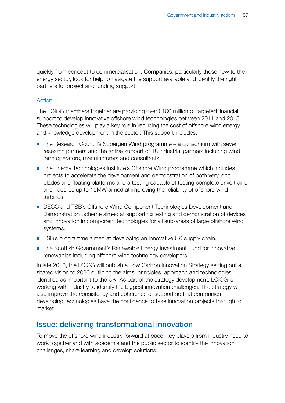quickly from concept to commercialisation. Companies, particularly those new to the energy sector, look for help to navigate the support available and identify the right partners for project and funding support.

#### Action

The LCICG members together are providing over £100 million of targeted financial support to develop innovative offshore wind technologies between 2011 and 2015. These technologies will play a key role in reducing the cost of offshore wind energy and knowledge development in the sector. This support includes:

- The Research Council's Supergen Wind programme a consortium with seven research partners and the active support of 18 industrial partners including wind farm operators, manufacturers and consultants.
- The Energy Technologies Institute's Offshore Wind programme which includes projects to accelerate the development and demonstration of both very long blades and floating platforms and a test rig capable of testing complete drive trains and nacelles up to 15MW aimed at improving the reliability of offshore wind turbines.
- DECC and TSB's Offshore Wind Component Technologies Development and Demonstration Scheme aimed at supporting testing and demonstration of devices and innovation in component technologies for all sub-areas of large offshore wind systems.
- TSB's programme aimed at developing an innovative UK supply chain.
- The Scottish Government's Renewable Energy Investment Fund for innovative renewables including offshore wind technology developers.

In late 2013, the LCICG will publish a Low Carbon Innovation Strategy setting out a shared vision to 2020 outlining the aims, principles, approach and technologies identified as important to the UK. As part of the strategy development, LCICG is working with industry to identify the biggest innovation challenges. The strategy will also improve the consistency and coherence of support so that companies developing technologies have the confidence to take innovation projects through to market.

## Issue: delivering transformational innovation

To move the offshore wind industry forward at pace, key players from industry need to work together and with academia and the public sector to identify the innovation challenges, share learning and develop solutions.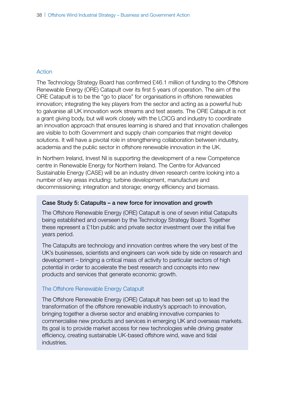#### Action

The Technology Strategy Board has confirmed £46.1 million of funding to the Offshore Renewable Energy (ORE) Catapult over its first 5 years of operation. The aim of the ORE Catapult is to be the "go to place" for organisations in offshore renewables innovation; integrating the key players from the sector and acting as a powerful hub to galvanise all UK innovation work streams and test assets. The ORE Catapult is not a grant giving body, but will work closely with the LCICG and industry to coordinate an innovation approach that ensures learning is shared and that innovation challenges are visible to both Government and supply chain companies that might develop solutions. It will have a pivotal role in strengthening collaboration between industry, academia and the public sector in offshore renewable innovation in the UK.

In Northern Ireland, Invest NI is supporting the development of a new Competence centre in Renewable Energy for Northern Ireland. The Centre for Advanced Sustainable Energy (CASE) will be an industry driven research centre looking into a number of key areas including: turbine development, manufacture and decommissioning; integration and storage; energy efficiency and biomass.

#### Case Study 5: Catapults – a new force for innovation and growth

The Offshore Renewable Energy (ORE) Catapult is one of seven initial Catapults being established and overseen by the Technology Strategy Board. Together these represent a £1bn public and private sector investment over the initial five years period.

The Catapults are technology and innovation centres where the very best of the UK's businesses, scientists and engineers can work side by side on research and development – bringing a critical mass of activity to particular sectors of high potential in order to accelerate the best research and concepts into new products and services that generate economic growth.

#### The Offshore Renewable Energy Catapult

The Offshore Renewable Energy (ORE) Catapult has been set up to lead the transformation of the offshore renewable industry's approach to innovation, bringing together a diverse sector and enabling innovative companies to commercialise new products and services in emerging UK and overseas markets. Its goal is to provide market access for new technologies while driving greater efficiency, creating sustainable UK-based offshore wind, wave and tidal industries.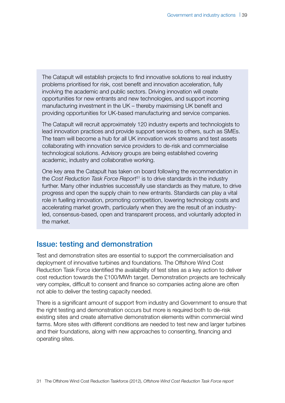The Catapult will establish projects to find innovative solutions to real industry problems prioritised for risk, cost benefit and innovation acceleration, fully involving the academic and public sectors. Driving innovation will create opportunities for new entrants and new technologies, and support incoming manufacturing investment in the UK – thereby maximising UK benefit and providing opportunities for UK-based manufacturing and service companies.

The Catapult will recruit approximately 120 industry experts and technologists to lead innovation practices and provide support services to others, such as SMEs. The team will become a hub for all UK innovation work streams and test assets collaborating with innovation service providers to de-risk and commercialise technological solutions. Advisory groups are being established covering academic, industry and collaborative working.

One key area the Catapult has taken on board following the recommendation in the *Cost Reduction Task Force Report*<sup>31</sup> is to drive standards in the industry further. Many other industries successfully use standards as they mature, to drive progress and open the supply chain to new entrants. Standards can play a vital role in fuelling innovation, promoting competition, lowering technology costs and accelerating market growth, particularly when they are the result of an industryled, consensus-based, open and transparent process, and voluntarily adopted in the market.

#### Issue: testing and demonstration

Test and demonstration sites are essential to support the commercialisation and deployment of innovative turbines and foundations. The Offshore Wind Cost Reduction Task Force identified the availability of test sites as a key action to deliver cost reduction towards the £100/MWh target. Demonstration projects are technically very complex, difficult to consent and finance so companies acting alone are often not able to deliver the testing capacity needed.

There is a significant amount of support from industry and Government to ensure that the right testing and demonstration occurs but more is required both to de-risk existing sites and create alternative demonstration elements within commercial wind farms. More sites with different conditions are needed to test new and larger turbines and their foundations, along with new approaches to consenting, financing and operating sites.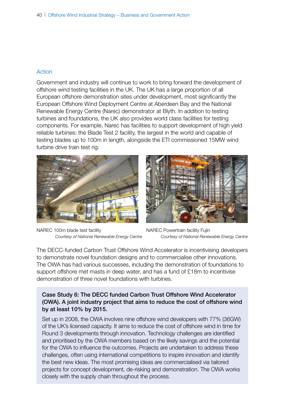#### Action

Government and industry will continue to work to bring forward the development of offshore wind testing facilities in the UK. The UK has a large proportion of all European offshore demonstration sites under development, most significantly the European Offshore Wind Deployment Centre at Aberdeen Bay and the National Renewable Energy Centre (Narec) demonstrator at Blyth. In addition to testing turbines and foundations, the UK also provides world class facilities for testing components. For example, Narec has facilities to support development of high yield reliable turbines: the Blade Test 2 facility, the largest in the world and capable of testing blades up to 100m in length, alongside the ETI commissioned 15MW wind turbine drive train test rig.



NAREC 100m blade test facility *Courtesy of National Renewable Energy Centre*



NAREC Powertrain facility Fujin *Courtesy of National Renewable Energy Centre*

The DECC-funded Carbon Trust Offshore Wind Accelerator is incentivising developers to demonstrate novel foundation designs and to commercialise other innovations. The OWA has had various successes, including the demonstration of foundations to support offshore met masts in deep water, and has a fund of £18m to incentivise demonstration of three novel foundations with turbines.

#### Case Study 6: The DECC funded Carbon Trust Offshore Wind Accelerator (OWA). A joint industry project that aims to reduce the cost of offshore wind by at least 10% by 2015.

Set up in 2008, the OWA involves nine offshore wind developers with 77% (36GW) of the UK's licensed capacity. It aims to reduce the cost of offshore wind in time for Round 3 developments through innovation. Technology challenges are identified and prioritised by the OWA members based on the likely savings and the potential for the OWA to influence the outcomes. Projects are undertaken to address these challenges, often using international competitions to inspire innovation and identify the best new ideas. The most promising ideas are commercialised via tailored projects for concept development, de-risking and demonstration. The OWA works closely with the supply chain throughout the process.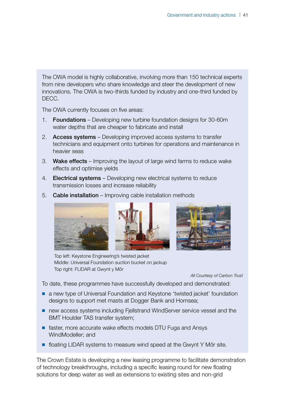The OWA model is highly collaborative, involving more than 150 technical experts from nine developers who share knowledge and steer the development of new innovations. The OWA is two-thirds funded by industry and one-third funded by DECC.

The OWA currently focuses on five areas:

- 1. Foundations Developing new turbine foundation designs for 30-60m water depths that are cheaper to fabricate and install
- 2. Access systems Developing improved access systems to transfer technicians and equipment onto turbines for operations and maintenance in heavier seas
- 3. Wake effects Improving the layout of large wind farms to reduce wake effects and optimise yields
- 4. **Electrical systems** Developing new electrical systems to reduce transmission losses and increase reliability



5. Cable installation – Improving cable installation methods

Top left: Keystone Engineering's twisted jacket Middle: Universal Foundation suction bucket on jackup Top right: FLIDAR at Gwynt y Môr

*All Courtesy of Carbon Trust*

To date, these programmes have successfully developed and demonstrated:

- a new type of Universal Foundation and Keystone 'twisted jacket' foundation designs to support met masts at Dogger Bank and Hornsea;
- new access systems including Fjellstrand WindServer service vessel and the BMT Houlder TAS transfer system;
- faster, more accurate wake effects models DTU Fuga and Ansys WindModeller; and
- floating LIDAR systems to measure wind speed at the Gwynt Y Môr site.

The Crown Estate is developing a new leasing programme to facilitate demonstration of technology breakthroughs, including a specific leasing round for new floating solutions for deep water as well as extensions to existing sites and non-grid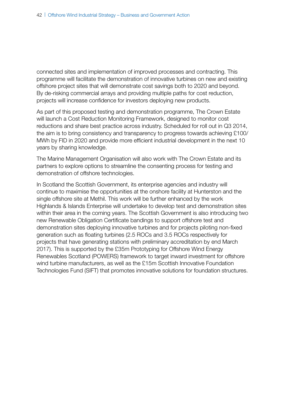connected sites and implementation of improved processes and contracting. This programme will facilitate the demonstration of innovative turbines on new and existing offshore project sites that will demonstrate cost savings both to 2020 and beyond. By de-risking commercial arrays and providing multiple paths for cost reduction, projects will increase confidence for investors deploying new products.

As part of this proposed testing and demonstration programme, The Crown Estate will launch a Cost Reduction Monitoring Framework, designed to monitor cost reductions and share best practice across industry. Scheduled for roll out in Q3 2014, the aim is to bring consistency and transparency to progress towards achieving £100/ MWh by FID in 2020 and provide more efficient industrial development in the next 10 years by sharing knowledge.

The Marine Management Organisation will also work with The Crown Estate and its partners to explore options to streamline the consenting process for testing and demonstration of offshore technologies.

In Scotland the Scottish Government, its enterprise agencies and industry will continue to maximise the opportunities at the onshore facility at Hunterston and the single offshore site at Methil. This work will be further enhanced by the work Highlands & Islands Enterprise will undertake to develop test and demonstration sites within their area in the coming years. The Scottish Government is also introducing two new Renewable Obligation Certificate bandings to support offshore test and demonstration sites deploying innovative turbines and for projects piloting non-fixed generation such as floating turbines (2.5 ROCs and 3.5 ROCs respectively for projects that have generating stations with preliminary accreditation by end March 2017). This is supported by the £35m Prototyping for Offshore Wind Energy Renewables Scotland (POWERS) framework to target inward investment for offshore wind turbine manufacturers, as well as the £15m Scottish Innovative Foundation Technologies Fund (SIFT) that promotes innovative solutions for foundation structures.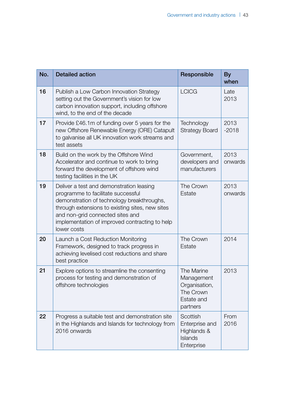| No. | <b>Detailed action</b>                                                                                                                                                                                                                                                               | Responsible                                                                      | <b>By</b><br>when |
|-----|--------------------------------------------------------------------------------------------------------------------------------------------------------------------------------------------------------------------------------------------------------------------------------------|----------------------------------------------------------------------------------|-------------------|
| 16  | Publish a Low Carbon Innovation Strategy<br>setting out the Government's vision for low<br>carbon innovation support, including offshore<br>wind, to the end of the decade                                                                                                           | <b>LCICG</b>                                                                     | Late<br>2013      |
| 17  | Provide £46.1m of funding over 5 years for the<br>new Offshore Renewable Energy (ORE) Catapult<br>to galvanise all UK innovation work streams and<br>test assets                                                                                                                     | Technology<br><b>Strategy Board</b>                                              | 2013<br>$-2018$   |
| 18  | Build on the work by the Offshore Wind<br>Accelerator and continue to work to bring<br>forward the development of offshore wind<br>testing facilities in the UK                                                                                                                      | Government,<br>developers and<br>manufacturers                                   | 2013<br>onwards   |
| 19  | Deliver a test and demonstration leasing<br>programme to facilitate successful<br>demonstration of technology breakthroughs,<br>through extensions to existing sites, new sites<br>and non-grid connected sites and<br>implementation of improved contracting to help<br>lower costs | The Crown<br>Estate                                                              | 2013<br>onwards   |
| 20  | Launch a Cost Reduction Monitoring<br>Framework, designed to track progress in<br>achieving levelised cost reductions and share<br>best practice                                                                                                                                     | The Crown<br>Estate                                                              | 2014              |
| 21  | Explore options to streamline the consenting<br>process for testing and demonstration of<br>offshore technologies                                                                                                                                                                    | The Marine<br>Management<br>Organisation,<br>The Crown<br>Estate and<br>partners | 2013              |
| 22  | Progress a suitable test and demonstration site<br>in the Highlands and Islands for technology from<br>2016 onwards                                                                                                                                                                  | Scottish<br>Enterprise and<br>Highlands &<br>Islands<br>Enterprise               | From<br>2016      |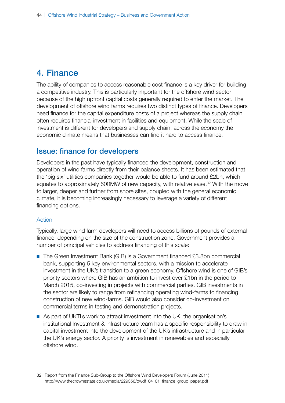# 4. Finance

The ability of companies to access reasonable cost finance is a key driver for building a competitive industry. This is particularly important for the offshore wind sector because of the high upfront capital costs generally required to enter the market. The development of offshore wind farms requires two distinct types of finance. Developers need finance for the capital expenditure costs of a project whereas the supply chain often requires financial investment in facilities and equipment. While the scale of investment is different for developers and supply chain, across the economy the economic climate means that businesses can find it hard to access finance.

### Issue: finance for developers

Developers in the past have typically financed the development, construction and operation of wind farms directly from their balance sheets. It has been estimated that the 'big six' utilities companies together would be able to fund around £2bn, which equates to approximately 600MW of new capacity, with relative ease.<sup>32</sup> With the move to larger, deeper and further from shore sites, coupled with the general economic climate, it is becoming increasingly necessary to leverage a variety of different financing options.

#### Action

Typically, large wind farm developers will need to access billions of pounds of external finance, depending on the size of the construction zone. Government provides a number of principal vehicles to address financing of this scale:

- The Green Investment Bank (GIB) is a Government financed £3.8bn commercial bank, supporting 5 key environmental sectors, with a mission to accelerate investment in the UK's transition to a green economy. Offshore wind is one of GIB's priority sectors where GIB has an ambition to invest over £1bn in the period to March 2015, co-investing in projects with commercial parties. GIB investments in the sector are likely to range from refinancing operating wind-farms to financing construction of new wind-farms. GIB would also consider co-investment on commercial terms in testing and demonstration projects.
- As part of UKTI's work to attract investment into the UK, the organisation's institutional Investment & Infrastructure team has a specific responsibility to draw in capital investment into the development of the UK's infrastructure and in particular the UK's energy sector. A priority is investment in renewables and especially offshore wind.

<sup>32</sup> Report from the Finance Sub-Group to the Offshore Wind Developers Forum (June 2011) [http://www.thecrownestate.co.uk/media/229356/owdf\\_04\\_01\\_finance\\_group\\_paper.pdf](http://www.thecrownestate.co.uk/media/229356/owdf_04_01_finance_group_paper.pdf)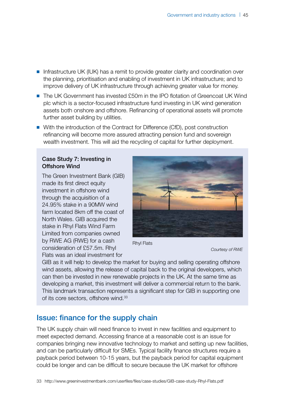- Infrastructure UK (IUK) has a remit to provide greater clarity and coordination over the planning, prioritisation and enabling of investment in UK infrastructure; and to improve delivery of UK infrastructure through achieving greater value for money.
- The UK Government has invested £50m in the IPO flotation of Greencoat UK Wind plc which is a sector-focused infrastructure fund investing in UK wind generation assets both onshore and offshore. Refinancing of operational assets will promote further asset building by utilities.
- With the introduction of the Contract for Difference (CfD), post construction refinancing will become more assured attracting pension fund and sovereign wealth investment. This will aid the recycling of capital for further deployment.

#### Case Study 7: Investing in Offshore Wind

The Green Investment Bank (GIB) made its first direct equity investment in offshore wind through the acquisition of a 24.95% stake in a 90MW wind farm located 8km off the coast of North Wales. GIB acquired the stake in Rhyl Flats Wind Farm Limited from companies owned by RWE AG (RWE) for a cash consideration of £57.5m. Rhyl Flats was an ideal investment for



Rhyl Flats

*Courtesy of RWE*

GIB as it will help to develop the market for buying and selling operating offshore wind assets, allowing the release of capital back to the original developers, which can then be invested in new renewable projects in the UK. At the same time as developing a market, this investment will deliver a commercial return to the bank. This landmark transaction represents a significant step for GIB in supporting one of its core sectors, offshore wind.<sup>33</sup>

#### Issue: finance for the supply chain

The UK supply chain will need finance to invest in new facilities and equipment to meet expected demand. Accessing finance at a reasonable cost is an issue for companies bringing new innovative technology to market and setting up new facilities, and can be particularly difficult for SMEs. Typical facility finance structures require a payback period between 10-15 years, but the payback period for capital equipment could be longer and can be difficult to secure because the UK market for offshore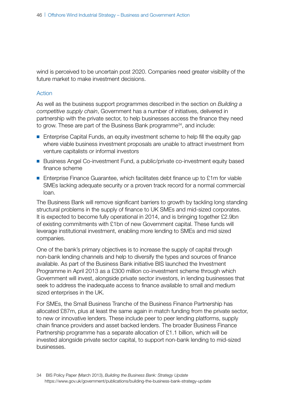wind is perceived to be uncertain post 2020. Companies need greater visibility of the future market to make investment decisions.

#### Action

As well as the business support programmes described in the section on *Building a competitive supply chain*, Government has a number of initiatives, delivered in partnership with the private sector, to help businesses access the finance they need to grow. These are part of the Business Bank programme<sup>34</sup>, and include:

- Enterprise Capital Funds, an equity investment scheme to help fill the equity gap where viable business investment proposals are unable to attract investment from venture capitalists or informal investors
- Business Angel Co-investment Fund, a public/private co-investment equity based finance scheme
- Enterprise Finance Guarantee, which facilitates debt finance up to £1m for viable SMEs lacking adequate security or a proven track record for a normal commercial loan.

The Business Bank will remove significant barriers to growth by tackling long standing structural problems in the supply of finance to UK SMEs and mid-sized corporates. It is expected to become fully operational in 2014, and is bringing together £2.9bn of existing commitments with £1bn of new Government capital. These funds will leverage institutional investment, enabling more lending to SMEs and mid sized companies.

One of the bank's primary objectives is to increase the supply of capital through non-bank lending channels and help to diversify the types and sources of finance available. As part of the Business Bank initiative BIS launched the Investment Programme in April 2013 as a £300 million co-investment scheme through which Government will invest, alongside private sector investors, in lending businesses that seek to address the inadequate access to finance available to small and medium sized enterprises in the UK.

For SMEs, the Small Business Tranche of the Business Finance Partnership has allocated £87m, plus at least the same again in match funding from the private sector, to new or innovative lenders. These include peer to peer lending platforms, supply chain finance providers and asset backed lenders. The broader Business Finance Partnership programme has a separate allocation of £1.1 billion, which will be invested alongside private sector capital, to support non-bank lending to mid-sized businesses.

<sup>34</sup> BIS Policy Paper (March 2013), *Building the Business Bank: Strategy Update* <https://www.gov.uk/government/publications/building-the-business-bank-strategy-update>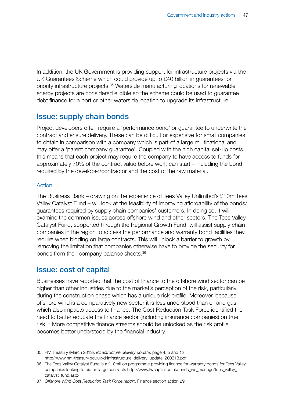In addition, the UK Government is providing support for infrastructure projects via the UK Guarantees Scheme which could provide up to £40 billion in guarantees for priority infrastructure projects.35 Waterside manufacturing locations for renewable energy projects are considered eligible so the scheme could be used to guarantee debt finance for a port or other waterside location to upgrade its infrastructure.

### Issue: supply chain bonds

Project developers often require a 'performance bond' or guarantee to underwrite the contract and ensure delivery. These can be difficult or expensive for small companies to obtain in comparison with a company which is part of a large multinational and may offer a 'parent company guarantee'. Coupled with the high capital set-up costs, this means that each project may require the company to have access to funds for approximately 70% of the contract value before work can start – including the bond required by the developer/contractor and the cost of the raw material.

#### Action

The Business Bank – drawing on the experience of Tees Valley Unlimited's £10m Tees Valley Catalyst Fund – will look at the feasibility of improving affordability of the bonds/ guarantees required by supply chain companies' customers. In doing so, it will examine the common issues across offshore wind and other sectors. The Tees Valley Catalyst Fund, supported through the Regional Growth Fund, will assist supply chain companies in the region to access the performance and warranty bond facilities they require when bidding on large contracts. This will unlock a barrier to growth by removing the limitation that companies otherwise have to provide the security for bonds from their company balance sheets.36

#### Issue: cost of capital

Businesses have reported that the cost of finance to the offshore wind sector can be higher than other industries due to the market's perception of the risk, particularly during the construction phase which has a unique risk profile. Moreover, because offshore wind is a comparatively new sector it is less understood than oil and gas, which also impacts access to finance. The Cost Reduction Task Force identified the need to better educate the finance sector (including insurance companies) on true risk.37 More competitive finance streams should be unlocked as the risk profile becomes better understood by the financial industry.

<sup>35</sup> HM Treasury (March 2013), *Infrastructure delivery update*, page 4, 5 and 12 [http://www.hm-treasury.gov.uk/d/infrastructure\\_delivery\\_update\\_200313.pdf](http://www.hm-treasury.gov.uk/d/infrastructure_delivery_update_200313.pdf)

<sup>36</sup> The Tees Valley Catalyst Fund is a £10million programme providing finance for warranty bonds for Tees Valley companies looking to bid on large contracts [http://www.fwcapital.co.uk/funds\\_we\\_manage/tees\\_valley\\_](http://www.fwcapital.co.uk/funds_we_manage/tees_valley_catalyst_fund.aspx) [catalyst\\_fund.aspx](http://www.fwcapital.co.uk/funds_we_manage/tees_valley_catalyst_fund.aspx) 

<sup>37</sup> *Offshore Wind Cost Reduction Task Force report*, Finance section action 29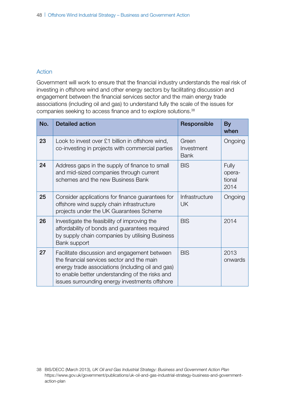#### Action

Government will work to ensure that the financial industry understands the real risk of investing in offshore wind and other energy sectors by facilitating discussion and engagement between the financial services sector and the main energy trade associations (including oil and gas) to understand fully the scale of the issues for companies seeking to access finance and to explore solutions.38

| No. | <b>Detailed action</b>                                                                                                                                                                                                                               | Responsible                        | <b>By</b><br>when                 |
|-----|------------------------------------------------------------------------------------------------------------------------------------------------------------------------------------------------------------------------------------------------------|------------------------------------|-----------------------------------|
| 23  | Look to invest over £1 billion in offshore wind,<br>co-investing in projects with commercial parties                                                                                                                                                 | Green<br>Investment<br><b>Bank</b> | Ongoing                           |
| 24  | Address gaps in the supply of finance to small<br>and mid-sized companies through current<br>schemes and the new Business Bank                                                                                                                       | <b>BIS</b>                         | Fully<br>opera-<br>tional<br>2014 |
| 25  | Consider applications for finance guarantees for<br>offshore wind supply chain infrastructure<br>projects under the UK Guarantees Scheme                                                                                                             | Infrastructure<br>UK.              | Ongoing                           |
| 26  | Investigate the feasibility of improving the<br>affordability of bonds and guarantees required<br>by supply chain companies by utilising Business<br>Bank support                                                                                    | <b>BIS</b>                         | 2014                              |
| 27  | Facilitate discussion and engagement between<br>the financial services sector and the main<br>energy trade associations (including oil and gas)<br>to enable better understanding of the risks and<br>issues surrounding energy investments offshore | <b>BIS</b>                         | 2013<br>onwards                   |

<sup>38</sup> BIS/DECC (March 2013), *UK Oil and Gas Industrial Strategy: Business and Government Action Plan* [https://www.gov.uk/government/publications/uk-oil-and-gas-industrial-strategy-business-and-government](https://www.gov.uk/government/publications/uk-oil-and-gas-industrial-strategy-business-and-government-action-plan)[action-plan](https://www.gov.uk/government/publications/uk-oil-and-gas-industrial-strategy-business-and-government-action-plan)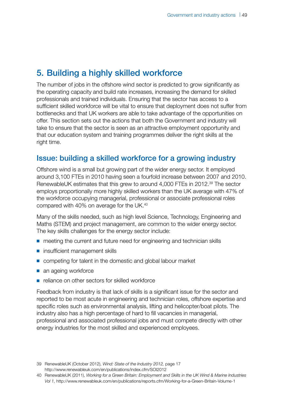# 5. Building a highly skilled workforce

The number of jobs in the offshore wind sector is predicted to grow significantly as the operating capacity and build rate increases, increasing the demand for skilled professionals and trained individuals. Ensuring that the sector has access to a sufficient skilled workforce will be vital to ensure that deployment does not suffer from bottlenecks and that UK workers are able to take advantage of the opportunities on offer. This section sets out the actions that both the Government and industry will take to ensure that the sector is seen as an attractive employment opportunity and that our education system and training programmes deliver the right skills at the right time.

## Issue: building a skilled workforce for a growing industry

Offshore wind is a small but growing part of the wider energy sector. It employed around 3,100 FTEs in 2010 having seen a fourfold increase between 2007 and 2010. RenewableUK estimates that this grew to around 4,000 FTEs in 2012.<sup>39</sup> The sector employs proportionally more highly skilled workers than the UK average with 47% of the workforce occupying managerial, professional or associate professional roles compared with 40% on average for the UK.40

Many of the skills needed, such as high level Science, Technology, Engineering and Maths (STEM) and project management, are common to the wider energy sector. The key skills challenges for the energy sector include:

- meeting the current and future need for engineering and technician skills
- insufficient management skills
- competing for talent in the domestic and global labour market
- an ageing workforce
- reliance on other sectors for skilled workforce

Feedback from industry is that lack of skills is a significant issue for the sector and reported to be most acute in engineering and technician roles, offshore expertise and specific roles such as environmental analysis, lifting and helicopter/boat pilots. The industry also has a high percentage of hard to fill vacancies in managerial, professional and associated professional jobs and must compete directly with other energy industries for the most skilled and experienced employees.

39 RenewableUK (October 2012), *Wind: State of the Industry 2012,* page 17 <http://www.renewableuk.com/en/publications/index.cfm/SOI2012>

<sup>40</sup> RenewableUK (2011), *Working for a Green Britain: Employment and Skills in the UK Wind & Marine Industries Vol 1,* <http://www.renewableuk.com/en/publications/reports.cfm/Working-for-a-Green-Britain-Volume-1>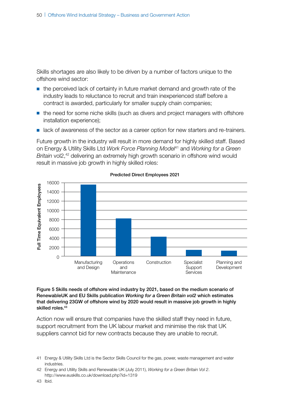Skills shortages are also likely to be driven by a number of factors unique to the offshore wind sector:

- the perceived lack of certainty in future market demand and growth rate of the industry leads to reluctance to recruit and train inexperienced staff before a contract is awarded, particularly for smaller supply chain companies;
- the need for some niche skills (such as divers and project managers with offshore installation experience);
- lack of awareness of the sector as a career option for new starters and re-trainers.

Future growth in the industry will result in more demand for highly skilled staff. Based on Energy & Utility Skills Ltd *Work Force Planning Model*41 and *Working for a Green Britain* vol2,<sup>42</sup> delivering an extremely high growth scenario in offshore wind would result in massive job growth in highly skilled roles:



Predicted Direct Employees 2021

Figure 5 Skills needs of offshore wind industry by 2021, based on the medium scenario of RenewableUK and EU Skills publication *Working for a Green Britain vol2* which estimates that delivering 23GW of offshore wind by 2020 would result in massive job growth in highly skilled roles.43

Action now will ensure that companies have the skilled staff they need in future, support recruitment from the UK labour market and minimise the risk that UK suppliers cannot bid for new contracts because they are unable to recruit.

41 Energy & Utility Skills Ltd is the Sector Skills Council for the gas, power, waste management and water industries.

<sup>42</sup> Energy and Utility Skills and Renewable UK (July 2011), *Working for a Green Britain Vol 2*. <http://www.euskills.co.uk/download.php?id=1319>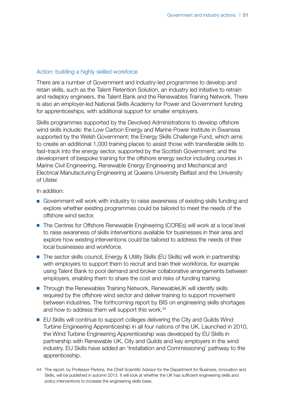#### Action: building a highly skilled workforce

There are a number of Government and industry-led programmes to develop and retain skills, such as the Talent Retention Solution, an industry led initiative to retrain and redeploy engineers, the Talent Bank and the Renewables Training Network. There is also an employer-led National Skills Academy for Power and Government funding for apprenticeships, with additional support for smaller employers.

Skills programmes supported by the Devolved Administrations to develop offshore wind skills include: the Low Carbon Energy and Marine Power Institute in Swansea supported by the Welsh Government; the Energy Skills Challenge Fund, which aims to create an additional 1,000 training places to assist those with transferable skills to fast-track into the energy sector, supported by the Scottish Government; and the development of bespoke training for the offshore energy sector including courses in Marine Civil Engineering, Renewable Energy Engineering and Mechanical and Electrical Manufacturing Engineering at Queens University Belfast and the University of Ulster.

In addition:

- Government will work with industry to raise awareness of existing skills funding and explore whether existing programmes could be tailored to meet the needs of the offshore wind sector.
- The Centres for Offshore Renewable Engineering (COREs) will work at a local level to raise awareness of skills interventions available for businesses in their area and explore how existing interventions could be tailored to address the needs of their local businesses and workforce.
- The sector skills council, Energy & Utility Skills (EU Skills) will work in partnership with employers to support them to recruit and train their workforce, for example using Talent Bank to pool demand and broker collaborative arrangements between employers, enabling them to share the cost and risks of funding training.
- Through the Renewables Training Network, RenewableUK will identify skills required by the offshore wind sector and deliver training to support movement between industries. The forthcoming report by BIS on engineering skills shortages and how to address them will support this work.<sup>44</sup>
- EU Skills will continue to support colleges delivering the City and Guilds Wind Turbine Engineering Apprenticeship in all four nations of the UK. Launched in 2010, the Wind Turbine Engineering Apprenticeship was developed by EU Skills in partnership with Renewable UK, City and Guilds and key employers in the wind industry. EU Skills have added an 'Installation and Commissioning' pathway to the apprenticeship.

<sup>44</sup> The report, by Professor Perkins, the Chief Scientific Advisor for the Department for Business, Innovation and Skills, will be published in autumn 2013. It will look at whether the UK has sufficient engineering skills and policy interventions to increase the engineering skills base.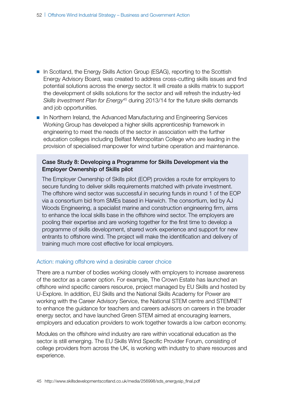- In Scotland, the Energy Skills Action Group (ESAG), reporting to the Scottish Energy Advisory Board, was created to address cross-cutting skills issues and find potential solutions across the energy sector. It will create a skills matrix to support the development of skills solutions for the sector and will refresh the industry-led *Skills Investment Plan for Energy*45 during 2013/14 for the future skills demands and job opportunities.
- In Northern Ireland, the Advanced Manufacturing and Engineering Services Working Group has developed a higher skills apprenticeship framework in engineering to meet the needs of the sector in association with the further education colleges including Belfast Metropolitan College who are leading in the provision of specialised manpower for wind turbine operation and maintenance.

#### Case Study 8: Developing a Programme for Skills Development via the Employer Ownership of Skills pilot

The Employer Ownership of Skills pilot (EOP) provides a route for employers to secure funding to deliver skills requirements matched with private investment. The offshore wind sector was successful in securing funds in round 1 of the EOP via a consortium bid from SMEs based in Harwich. The consortium, led by AJ Woods Engineering, a specialist marine and construction engineering firm, aims to enhance the local skills base in the offshore wind sector. The employers are pooling their expertise and are working together for the first time to develop a programme of skills development, shared work experience and support for new entrants to offshore wind. The project will make the identification and delivery of training much more cost effective for local employers.

#### Action: making offshore wind a desirable career choice

There are a number of bodies working closely with employers to increase awareness of the sector as a career option. For example, The Crown Estate has launched an offshore wind specific careers resource, project managed by EU Skills and hosted by U-Explore. In addition, EU Skills and the National Skills Academy for Power are working with the Career Advisory Service, the National STEM centre and STEMNET to enhance the guidance for teachers and careers advisors on careers in the broader energy sector, and have launched Green STEM aimed at encouraging learners, employers and education providers to work together towards a low carbon economy.

Modules on the offshore wind industry are rare within vocational education as the sector is still emerging. The EU Skills Wind Specific Provider Forum, consisting of college providers from across the UK, is working with industry to share resources and experience.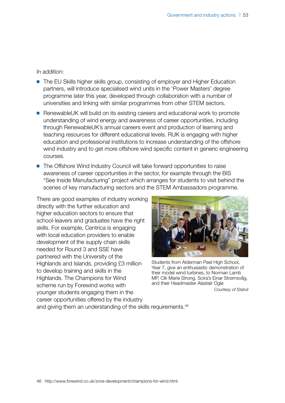In addition:

- The EU Skills higher skills group, consisting of employer and Higher Education partners, will introduce specialised wind units in the 'Power Masters' degree programme later this year, developed through collaboration with a number of universities and linking with similar programmes from other STEM sectors.
- RenewableUK will build on its existing careers and educational work to promote understanding of wind energy and awareness of career opportunities, including through RenewableUK's annual careers event and production of learning and teaching resources for different educational levels. RUK is engaging with higher education and professional institutions to increase understanding of the offshore wind industry and to get more offshore wind specific content in generic engineering courses.
- The Offshore Wind Industry Council will take forward opportunities to raise awareness of career opportunities in the sector, for example through the BIS "See Inside Manufacturing" project which arranges for students to visit behind the scenes of key manufacturing sectors and the STEM Ambassadors programme.

There are good examples of industry working directly with the further education and higher education sectors to ensure that school-leavers and graduates have the right skills. For example, Centrica is engaging with local education providers to enable development of the supply chain skills needed for Round 3 and SSE have partnered with the University of the Highlands and Islands, providing £3 million to develop training and skills in the Highlands. The Champions for Wind scheme run by Forewind works with younger students engaging them in the career opportunities offered by the industry



Students from Alderman Peel High School, Year 7, give an enthusiastic demonstration of their model wind turbines, to Norman Lamb MP, Cllr Marie Strong, Scira's Einar Strømsvåg, and their Headmaster Alastair Ogle

*Courtesy of Statoil*

and giving them an understanding of the skills requirements.<sup>46</sup>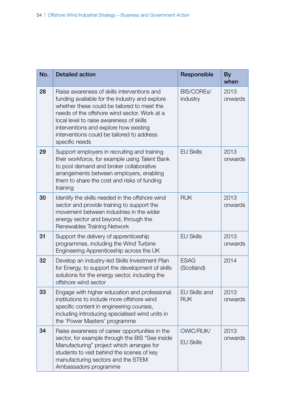| No. | <b>Detailed action</b>                                                                                                                                                                                                                                                                                                                             | Responsible                        | <b>By</b><br>when |
|-----|----------------------------------------------------------------------------------------------------------------------------------------------------------------------------------------------------------------------------------------------------------------------------------------------------------------------------------------------------|------------------------------------|-------------------|
| 28  | Raise awareness of skills interventions and<br>funding available for the industry and explore<br>whether these could be tailored to meet the<br>needs of the offshore wind sector. Work at a<br>local level to raise awareness of skills<br>interventions and explore how existing<br>interventions could be tailored to address<br>specific needs | BIS/COREs/<br>industry             | 2013<br>onwards   |
| 29  | Support employers in recruiting and training<br>their workforce, for example using Talent Bank<br>to pool demand and broker collaborative<br>arrangements between employers, enabling<br>them to share the cost and risks of funding<br>training                                                                                                   | <b>EU Skills</b>                   | 2013<br>onwards   |
| 30  | Identify the skills needed in the offshore wind<br>sector and provide training to support the<br>movement between industries in the wider<br>energy sector and beyond, through the<br>Renewables Training Network                                                                                                                                  | <b>RUK</b>                         | 2013<br>onwards   |
| 31  | Support the delivery of apprenticeship<br>programmes, including the Wind Turbine<br>Engineering Apprenticeship across the UK                                                                                                                                                                                                                       | <b>EU Skills</b>                   | 2013<br>onwards   |
| 32  | Develop an industry-led Skills Investment Plan<br>for Energy, to support the development of skills<br>solutions for the energy sector, including the<br>offshore wind sector                                                                                                                                                                       | <b>ESAG</b><br>(Scotland)          | 2014              |
| 33  | Engage with higher education and professional<br>institutions to include more offshore wind<br>specific content in engineering courses,<br>including introducing specialised wind units in<br>the 'Power Masters' programme                                                                                                                        | <b>EU Skills and</b><br><b>RUK</b> | 2013<br>onwards   |
| 34  | Raise awareness of career opportunities in the<br>sector, for example through the BIS "See inside<br>Manufacturing" project which arranges for<br>students to visit behind the scenes of key<br>manufacturing sectors and the STEM<br>Ambassadors programme                                                                                        | OWIC/RUK/<br><b>EU Skills</b>      | 2013<br>onwards   |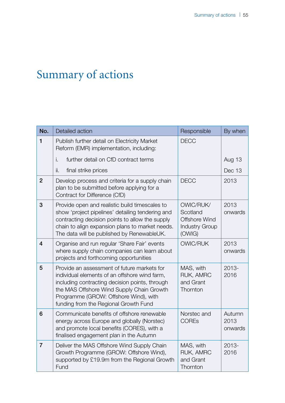# Summary of actions

| No.            | Detailed action                                                                                                                                                                                                                                                               | Responsible                                                               | By when                   |
|----------------|-------------------------------------------------------------------------------------------------------------------------------------------------------------------------------------------------------------------------------------------------------------------------------|---------------------------------------------------------------------------|---------------------------|
| 1              | Publish further detail on Electricity Market<br>Reform (EMR) implementation, including:                                                                                                                                                                                       | <b>DECC</b>                                                               |                           |
|                | further detail on CfD contract terms<br>i.                                                                                                                                                                                                                                    |                                                                           | Aug 13                    |
|                | ii.<br>final strike prices                                                                                                                                                                                                                                                    |                                                                           | Dec 13                    |
| $\overline{2}$ | Develop process and criteria for a supply chain<br>plan to be submitted before applying for a<br>Contract for Difference (CfD)                                                                                                                                                | <b>DECC</b>                                                               | 2013                      |
| 3              | Provide open and realistic build timescales to<br>show 'project pipelines' detailing tendering and<br>contracting decision points to allow the supply<br>chain to align expansion plans to market needs.<br>The data will be published by RenewableUK.                        | OWIC/RUK/<br>Scotland<br>Offshore Wind<br><b>Industry Group</b><br>(OWIG) | 2013<br>onwards           |
| $\overline{4}$ | Organise and run regular 'Share Fair' events<br>where supply chain companies can learn about<br>projects and forthcoming opportunities                                                                                                                                        | <b>OWIC/RUK</b>                                                           | 2013<br>onwards           |
| 5              | Provide an assessment of future markets for<br>individual elements of an offshore wind farm,<br>including contracting decision points, through<br>the MAS Offshore Wind Supply Chain Growth<br>Programme (GROW: Offshore Wind), with<br>funding from the Regional Growth Fund | MAS, with<br>RUK, AMRC<br>and Grant<br>Thornton                           | $2013 -$<br>2016          |
| 6              | Communicate benefits of offshore renewable<br>energy across Europe and globally (Norstec)<br>and promote local benefits (CORES), with a<br>finalised engagement plan in the Autumn                                                                                            | Norstec and<br><b>COREs</b>                                               | Autumn<br>2013<br>onwards |
| $\overline{7}$ | Deliver the MAS Offshore Wind Supply Chain<br>Growth Programme (GROW: Offshore Wind),<br>supported by £19.9m from the Regional Growth<br>Fund                                                                                                                                 | MAS, with<br>RUK, AMRC<br>and Grant<br>Thornton                           | $2013 -$<br>2016          |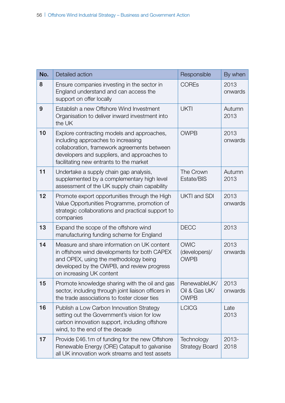| No. | Detailed action                                                                                                                                                                                                           | Responsible                                  | By when         |
|-----|---------------------------------------------------------------------------------------------------------------------------------------------------------------------------------------------------------------------------|----------------------------------------------|-----------------|
| 8   | Ensure companies investing in the sector in<br>England understand and can access the<br>support on offer locally                                                                                                          | <b>COREs</b>                                 | 2013<br>onwards |
| 9   | Establish a new Offshore Wind Investment<br>Organisation to deliver inward investment into<br>the UK                                                                                                                      | <b>UKTI</b>                                  | Autumn<br>2013  |
| 10  | Explore contracting models and approaches,<br>including approaches to increasing<br>collaboration, framework agreements between<br>developers and suppliers, and approaches to<br>facilitating new entrants to the market | <b>OWPB</b>                                  | 2013<br>onwards |
| 11  | Undertake a supply chain gap analysis,<br>supplemented by a complementary high level<br>assessment of the UK supply chain capability                                                                                      | The Crown<br>Estate/BIS                      | Autumn<br>2013  |
| 12  | Promote export opportunities through the High<br>Value Opportunities Programme, promotion of<br>strategic collaborations and practical support to<br>companies                                                            | <b>UKTI and SDI</b>                          | 2013<br>onwards |
| 13  | Expand the scope of the offshore wind<br>manufacturing funding scheme for England                                                                                                                                         | <b>DECC</b>                                  | 2013            |
| 14  | Measure and share information on UK content<br>in offshore wind developments for both CAPEX<br>and OPEX, using the methodology being<br>developed by the OWPB, and review progress<br>on increasing UK content            | <b>OWIC</b><br>(developers)/<br><b>OWPB</b>  | 2013<br>onwards |
| 15  | Promote knowledge sharing with the oil and gas<br>sector, including through joint liaison officers in<br>the trade associations to foster closer ties                                                                     | RenewableUK/<br>Oil & Gas UK/<br><b>OWPB</b> | 2013<br>onwards |
| 16  | Publish a Low Carbon Innovation Strategy<br>setting out the Government's vision for low<br>carbon innovation support, including offshore<br>wind, to the end of the decade                                                | <b>LCICG</b>                                 | Late<br>2013    |
| 17  | Provide £46.1m of funding for the new Offshore<br>Renewable Energy (ORE) Catapult to galvanise<br>all UK innovation work streams and test assets                                                                          | Technology<br><b>Strategy Board</b>          | 2013-<br>2018   |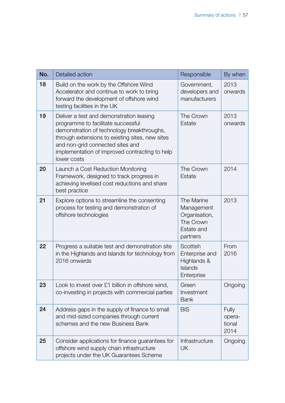| No. | Detailed action                                                                                                                                                                                                                                                                      | Responsible                                                                      | By when                           |
|-----|--------------------------------------------------------------------------------------------------------------------------------------------------------------------------------------------------------------------------------------------------------------------------------------|----------------------------------------------------------------------------------|-----------------------------------|
| 18  | Build on the work by the Offshore Wind<br>Accelerator and continue to work to bring<br>forward the development of offshore wind<br>testing facilities in the UK                                                                                                                      | Government,<br>developers and<br>manufacturers                                   | 2013<br>onwards                   |
| 19  | Deliver a test and demonstration leasing<br>programme to facilitate successful<br>demonstration of technology breakthroughs,<br>through extensions to existing sites, new sites<br>and non-grid connected sites and<br>implementation of improved contracting to help<br>lower costs | The Crown<br>Estate                                                              | 2013<br>onwards                   |
| 20  | Launch a Cost Reduction Monitoring<br>Framework, designed to track progress in<br>achieving levelised cost reductions and share<br>best practice                                                                                                                                     | The Crown<br>Estate                                                              | 2014                              |
| 21  | Explore options to streamline the consenting<br>process for testing and demonstration of<br>offshore technologies                                                                                                                                                                    | The Marine<br>Management<br>Organisation,<br>The Crown<br>Estate and<br>partners | 2013                              |
| 22  | Progress a suitable test and demonstration site<br>in the Highlands and Islands for technology from<br>2016 onwards                                                                                                                                                                  | Scottish<br>Enterprise and<br>Highlands &<br>Islands<br>Enterprise               | From<br>2016                      |
| 23  | Look to invest over £1 billion in offshore wind,<br>co-investing in projects with commercial parties                                                                                                                                                                                 | Green<br>Investment<br><b>Bank</b>                                               | Ongoing                           |
| 24  | Address gaps in the supply of finance to small<br>and mid-sized companies through current<br>schemes and the new Business Bank                                                                                                                                                       | <b>BIS</b>                                                                       | Fully<br>opera-<br>tional<br>2014 |
| 25  | Consider applications for finance guarantees for<br>offshore wind supply chain infrastructure<br>projects under the UK Guarantees Scheme                                                                                                                                             | Infrastructure<br><b>UK</b>                                                      | Ongoing                           |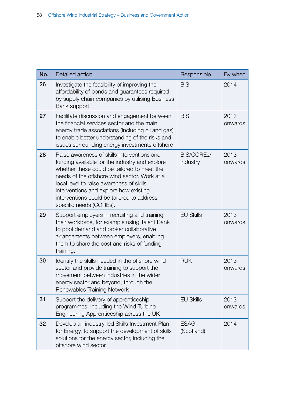| No. | Detailed action                                                                                                                                                                                                                                                                                                                                             | Responsible               | By when         |
|-----|-------------------------------------------------------------------------------------------------------------------------------------------------------------------------------------------------------------------------------------------------------------------------------------------------------------------------------------------------------------|---------------------------|-----------------|
| 26  | Investigate the feasibility of improving the<br>affordability of bonds and guarantees required<br>by supply chain companies by utilising Business<br>Bank support                                                                                                                                                                                           | <b>BIS</b>                | 2014            |
| 27  | Facilitate discussion and engagement between<br>the financial services sector and the main<br>energy trade associations (including oil and gas)<br>to enable better understanding of the risks and<br>issues surrounding energy investments offshore                                                                                                        | <b>BIS</b>                | 2013<br>onwards |
| 28  | Raise awareness of skills interventions and<br>funding available for the industry and explore<br>whether these could be tailored to meet the<br>needs of the offshore wind sector. Work at a<br>local level to raise awareness of skills<br>interventions and explore how existing<br>interventions could be tailored to address<br>specific needs (COREs). | BIS/COREs/<br>industry    | 2013<br>onwards |
| 29  | Support employers in recruiting and training<br>their workforce, for example using Talent Bank<br>to pool demand and broker collaborative<br>arrangements between employers, enabling<br>them to share the cost and risks of funding<br>training.                                                                                                           | <b>EU Skills</b>          | 2013<br>onwards |
| 30  | Identify the skills needed in the offshore wind<br>sector and provide training to support the<br>movement between industries in the wider<br>energy sector and beyond, through the<br>Renewables Training Network                                                                                                                                           | <b>RUK</b>                | 2013<br>onwards |
| 31  | Support the delivery of apprenticeship<br>programmes, including the Wind Turbine<br>Engineering Apprenticeship across the UK                                                                                                                                                                                                                                | <b>EU Skills</b>          | 2013<br>onwards |
| 32  | Develop an industry-led Skills Investment Plan<br>for Energy, to support the development of skills<br>solutions for the energy sector, including the<br>offshore wind sector                                                                                                                                                                                | <b>ESAG</b><br>(Scotland) | 2014            |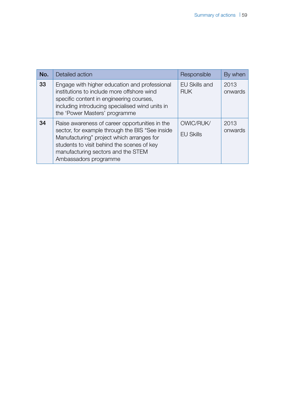| No. | Detailed action                                                                                                                                                                                                                                             | Responsible                        | By when         |
|-----|-------------------------------------------------------------------------------------------------------------------------------------------------------------------------------------------------------------------------------------------------------------|------------------------------------|-----------------|
| 33  | Engage with higher education and professional<br>institutions to include more offshore wind<br>specific content in engineering courses,<br>including introducing specialised wind units in<br>the 'Power Masters' programme                                 | <b>EU Skills and</b><br><b>RUK</b> | 2013<br>onwards |
| 34  | Raise awareness of career opportunities in the<br>sector, for example through the BIS "See inside<br>Manufacturing" project which arranges for<br>students to visit behind the scenes of key<br>manufacturing sectors and the STEM<br>Ambassadors programme | OWIC/RUK/<br><b>EU Skills</b>      | 2013<br>onwards |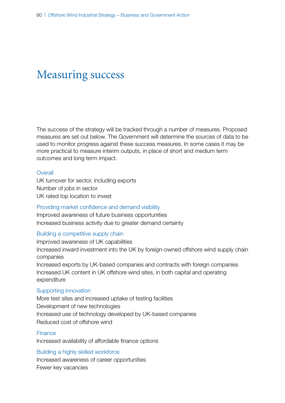# Measuring success

The success of the strategy will be tracked through a number of measures. Proposed measures are set out below. The Government will determine the sources of data to be used to monitor progress against these success measures. In some cases it may be more practical to measure interim outputs, in place of short and medium term outcomes and long term impact.

#### **Overall**

UK turnover for sector, including exports Number of jobs in sector UK rated top location to invest

#### Providing market confidence and demand visibility

Improved awareness of future business opportunities Increased business activity due to greater demand certainty

#### Building a competitive supply chain

Improved awareness of UK capabilities

Increased inward investment into the UK by foreign-owned offshore wind supply chain companies

Increased exports by UK-based companies and contracts with foreign companies Increased UK content in UK offshore wind sites, in both capital and operating expenditure

#### Supporting innovation

More test sites and increased uptake of testing facilities Development of new technologies Increased use of technology developed by UK-based companies Reduced cost of offshore wind

#### Finance

Increased availability of affordable finance options

#### Building a highly skilled workforce

Increased awareness of career opportunities Fewer key vacancies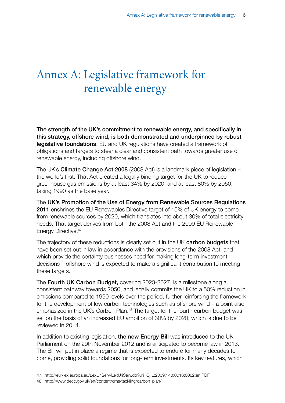# Annex A: Legislative framework for renewable energy

The strength of the UK's commitment to renewable energy, and specifically in this strategy, offshore wind, is both demonstrated and underpinned by robust legislative foundations. EU and UK regulations have created a framework of obligations and targets to steer a clear and consistent path towards greater use of renewable energy, including offshore wind.

The UK's Climate Change Act 2008 (2008 Act) is a landmark piece of legislation – the world's first. That Act created a legally binding target for the UK to reduce greenhouse gas emissions by at least 34% by 2020, and at least 80% by 2050, taking 1990 as the base year.

The UK's Promotion of the Use of Energy from Renewable Sources Regulations 2011 enshrines the EU Renewables Directive target of 15% of UK energy to come from renewable sources by 2020, which translates into about 30% of total electricity needs. That target derives from both the 2008 Act and the 2009 EU Renewable Energy Directive.<sup>47</sup>

The trajectory of these reductions is clearly set out in the UK carbon budgets that have been set out in law in accordance with the provisions of the 2008 Act, and which provide the certainty businesses need for making long-term investment decisions – offshore wind is expected to make a significant contribution to meeting these targets.

The Fourth UK Carbon Budget, covering 2023-2027, is a milestone along a consistent pathway towards 2050, and legally commits the UK to a 50% reduction in emissions compared to 1990 levels over the period, further reinforcing the framework for the development of low carbon technologies such as offshore wind – a point also emphasized in the UK's Carbon Plan.<sup>48</sup> The target for the fourth carbon budget was set on the basis of an increased EU ambition of 30% by 2020, which is due to be reviewed in 2014.

In addition to existing legislation, the new Energy Bill was introduced to the UK Parliament on the 29th November 2012 and is anticipated to become law in 2013. The Bill will put in place a regime that is expected to endure for many decades to come, providing solid foundations for long-term investments. Its key features, which

<sup>47</sup> <http://eur-lex.europa.eu/LexUriServ/LexUriServ.do?uri=Oj:L:2009:140:0016:0062:en:PDF>

<sup>48</sup> [http://www.decc.gov.uk/en/content/cms/tackling/carbon\\_plan/](http://www.decc.gov.uk/en/content/cms/tackling/carbon_plan/)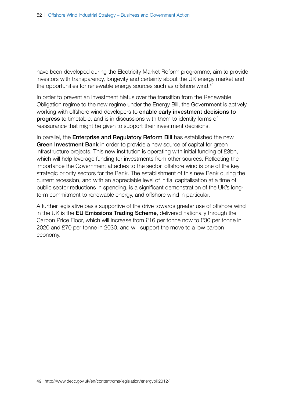have been developed during the Electricity Market Reform programme, aim to provide investors with transparency, longevity and certainty about the UK energy market and the opportunities for renewable energy sources such as offshore wind.<sup>49</sup>

In order to prevent an investment hiatus over the transition from the Renewable Obligation regime to the new regime under the Energy Bill, the Government is actively working with offshore wind developers to enable early investment decisions to progress to timetable, and is in discussions with them to identify forms of reassurance that might be given to support their investment decisions.

In parallel, the Enterprise and Regulatory Reform Bill has established the new Green Investment Bank in order to provide a new source of capital for green infrastructure projects. This new institution is operating with initial funding of £3bn, which will help leverage funding for investments from other sources. Reflecting the importance the Government attaches to the sector, offshore wind is one of the key strategic priority sectors for the Bank. The establishment of this new Bank during the current recession, and with an appreciable level of initial capitalisation at a time of public sector reductions in spending, is a significant demonstration of the UK's longterm commitment to renewable energy, and offshore wind in particular.

A further legislative basis supportive of the drive towards greater use of offshore wind in the UK is the EU Emissions Trading Scheme, delivered nationally through the Carbon Price Floor, which will increase from £16 per tonne now to £30 per tonne in 2020 and £70 per tonne in 2030, and will support the move to a low carbon economy.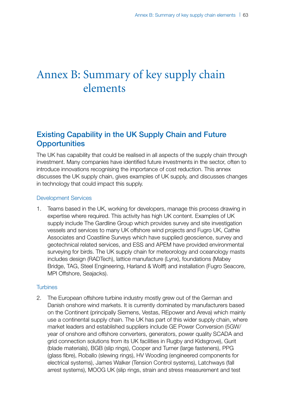# Annex B: Summary of key supply chain elements

# Existing Capability in the UK Supply Chain and Future **Opportunities**

The UK has capability that could be realised in all aspects of the supply chain through investment. Many companies have identified future investments in the sector, often to introduce innovations recognising the importance of cost reduction. This annex discusses the UK supply chain, gives examples of UK supply, and discusses changes in technology that could impact this supply.

#### Development Services

1. Teams based in the UK, working for developers, manage this process drawing in expertise where required. This activity has high UK content. Examples of UK supply include The Gardline Group which provides survey and site investigation vessels and services to many UK offshore wind projects and Fugro UK, Cathie Associates and Coastline Surveys which have supplied geoscience, survey and geotechnical related services, and ESS and APEM have provided environmental surveying for birds. The UK supply chain for meteorology and oceanology masts includes design (RADTech), lattice manufacture (Lynx), foundations (Mabey Bridge, TAG, Steel Engineering, Harland & Wolff) and installation (Fugro Seacore, MPI Offshore, Seajacks).

#### **Turbines**

2. The European offshore turbine industry mostly grew out of the German and Danish onshore wind markets. It is currently dominated by manufacturers based on the Continent (principally Siemens, Vestas, REpower and Areva) which mainly use a continental supply chain. The UK has part of this wider supply chain, where market leaders and established suppliers include GE Power Conversion (5GW/ year of onshore and offshore converters, generators, power quality SCADA and grid connection solutions from its UK facilities in Rugby and Kidsgrove), Gurit (blade materials), BGB (slip rings), Cooper and Turner (large fasteners), PPG (glass fibre), Roballo (slewing rings), HV Wooding (engineered components for electrical systems), James Walker (Tension Control systems), Latchways (fall arrest systems), MOOG UK (slip rings, strain and stress measurement and test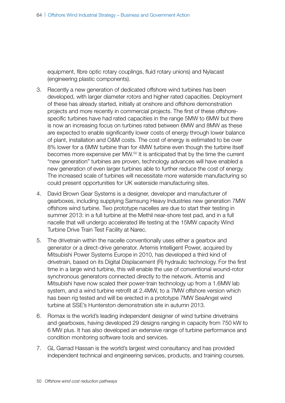equipment, fibre optic rotary couplings, fluid rotary unions) and Nylacast (engineering plastic components).

- 3. Recently a new generation of dedicated offshore wind turbines has been developed, with larger diameter rotors and higher rated capacities. Deployment of these has already started, initially at onshore and offshore demonstration projects and more recently in commercial projects. The first of these offshorespecific turbines have had rated capacities in the range 5MW to 6MW but there is now an increasing focus on turbines rated between 6MW and 8MW as these are expected to enable significantly lower costs of energy through lower balance of plant, installation and O&M costs. The cost of energy is estimated to be over 8% lower for a 6MW turbine than for 4MW turbine even though the turbine itself becomes more expensive per MW.50 It is anticipated that by the time the current "new generation" turbines are proven, technology advances will have enabled a new generation of even larger turbines able to further reduce the cost of energy. The increased scale of turbines will necessitate more waterside manufacturing so could present opportunities for UK waterside manufacturing sites.
- 4. David Brown Gear Systems is a designer, developer and manufacturer of gearboxes, including supplying Samsung Heavy Industries new generation 7MW offshore wind turbine. Two prototype nacelles are due to start their testing in summer 2013: in a full turbine at the Methil near-shore test pad, and in a full nacelle that will undergo accelerated life testing at the 15MW capacity Wind Turbine Drive Train Test Facility at Narec.
- 5. The drivetrain within the nacelle conventionally uses either a gearbox and generator or a direct-drive generator. Artemis Intelligent Power, acquired by Mitsubishi Power Systems Europe in 2010, has developed a third kind of drivetrain, based on its Digital Displacement (R) hydraulic technology. For the first time in a large wind turbine, this will enable the use of conventional wound-rotor synchronous generators connected directly to the network. Artemis and Mitsubishi have now scaled their power-train technology up from a 1.6MW lab system, and a wind turbine retrofit at 2.4MW, to a 7MW offshore version which has been rig tested and will be erected in a prototype 7MW SeaAngel wind turbine at SSE's Hunterston demonstration site in autumn 2013.
- 6. Romax is the world's leading independent designer of wind turbine drivetrains and gearboxes, having developed 29 designs ranging in capacity from 750 kW to 6 MW plus. It has also developed an extensive range of turbine performance and condition monitoring software tools and services.
- 7. GL Garrad Hassan is the world's largest wind consultancy and has provided independent technical and engineering services, products, and training courses.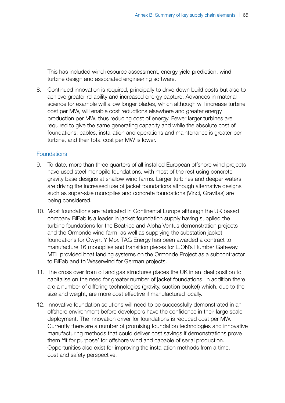This has included wind resource assessment, energy yield prediction, wind turbine design and associated engineering software.

8. Continued innovation is required, principally to drive down build costs but also to achieve greater reliability and increased energy capture. Advances in material science for example will allow longer blades, which although will increase turbine cost per MW, will enable cost reductions elsewhere and greater energy production per MW, thus reducing cost of energy. Fewer larger turbines are required to give the same generating capacity and while the absolute cost of foundations, cables, installation and operations and maintenance is greater per turbine, and their total cost per MW is lower.

#### Foundations

- 9. To date, more than three quarters of all installed European offshore wind projects have used steel monopile foundations, with most of the rest using concrete gravity base designs at shallow wind farms. Larger turbines and deeper waters are driving the increased use of jacket foundations although alternative designs such as super-size monopiles and concrete foundations (Vinci, Gravitas) are being considered.
- 10. Most foundations are fabricated in Continental Europe although the UK based company BiFab is a leader in jacket foundation supply having supplied the turbine foundations for the Beatrice and Alpha Ventus demonstration projects and the Ormonde wind farm, as well as supplying the substation jacket foundations for Gwynt Y Mor. TAG Energy has been awarded a contract to manufacture 16 monopiles and transition pieces for E.ON's Humber Gateway. MTL provided boat landing systems on the Ormonde Project as a subcontractor to BiFab and to Weserwind for German projects.
- 11. The cross over from oil and gas structures places the UK in an ideal position to capitalise on the need for greater number of jacket foundations. In addition there are a number of differing technologies (gravity, suction bucket) which, due to the size and weight, are more cost effective if manufactured locally.
- 12. Innovative foundation solutions will need to be successfully demonstrated in an offshore environment before developers have the confidence in their large scale deployment. The innovation driver for foundations is reduced cost per MW. Currently there are a number of promising foundation technologies and innovative manufacturing methods that could deliver cost savings if demonstrations prove them 'fit for purpose' for offshore wind and capable of serial production. Opportunities also exist for improving the installation methods from a time, cost and safety perspective.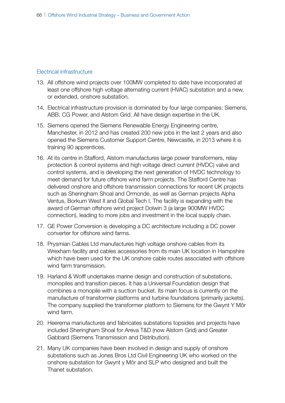#### Electrical infrastructure

- 13. All offshore wind projects over 100MW completed to date have incorporated at least one offshore high voltage alternating current (HVAC) substation and a new, or extended, onshore substation.
- 14. Electrical infrastructure provision is dominated by four large companies: Siemens, ABB, CG Power, and Alstom Grid. All have design expertise in the UK.
- 15. Siemens opened the Siemens Renewable Energy Engineering centre, Manchester, in 2012 and has created 200 new jobs in the last 2 years and also opened the Siemens Customer Support Centre, Newcastle, in 2013 where it is training 90 apprentices.
- 16. At its centre in Stafford, Alstom manufactures large power transformers, relay protection & control systems and high voltage direct current (HVDC) valve and control systems, and is developing the next generation of HVDC technology to meet demand for future offshore wind farm projects. The Stafford Centre has delivered onshore and offshore transmission connections for recent UK projects such as Sheringham Shoal and Ormonde, as well as German projects Alpha Ventus, Borkum West II and Global Tech I. The facility is expanding with the award of German offshore wind project Dolwin 3 (a large 900MW HVDC connection), leading to more jobs and investment in the local supply chain.
- 17. GE Power Conversion is developing a DC architecture including a DC power converter for offshore wind farms.
- 18. Prysmian Cables Ltd manufactures high voltage onshore cables from its Wrexham facility and cables accessories from its main UK location in Hampshire which have been used for the UK onshore cable routes associated with offshore wind farm transmission.
- 19. Harland & Wolff undertakes marine design and construction of substations, monopiles and transition pieces. It has a Universal Foundation design that combines a monopile with a suction bucket. Its main focus is currently on the manufacture of transformer platforms and turbine foundations (primarily jackets). The company supplied the transformer platform to Siemens for the Gwynt Y Môr wind farm.
- 20. Heerema manufactures and fabricates substations topsides and projects have included Sheringham Shoal for Areva T&D (now Alstom Grid) and Greater Gabbard (Siemens Transmission and Distribution).
- 21. Many UK companies have been involved in design and supply of onshore substations such as Jones Bros Ltd Civil Engineering UK who worked on the onshore substation for Gwynt y Môr and SLP who designed and built the Thanet substation.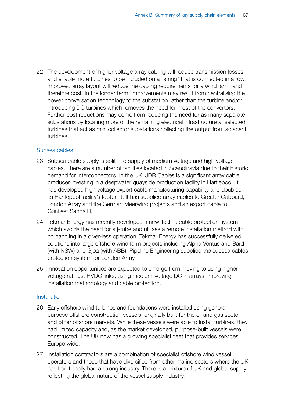22. The development of higher voltage array cabling will reduce transmission losses and enable more turbines to be included on a "string" that is connected in a row. Improved array layout will reduce the cabling requirements for a wind farm, and therefore cost. In the longer term, improvements may result from centralising the power conversation technology to the substation rather than the turbine and/or introducing DC turbines which removes the need for most of the convertors. Further cost reductions may come from reducing the need for as many separate substations by locating more of the remaining electrical infrastructure at selected turbines that act as mini collector substations collecting the output from adjacent turbines.

#### Subsea cables

- 23. Subsea cable supply is split into supply of medium voltage and high voltage cables. There are a number of facilities located in Scandinavia due to their historic demand for interconnectors. In the UK, JDR Cables is a significant array cable producer investing in a deepwater quayside production facility in Hartlepool. It has developed high voltage export cable manufacturing capability and doubled its Hartlepool facility's footprint. It has supplied array cables to Greater Gabbard, London Array and the German Meerwind projects and an export cable to Gunfleet Sands III.
- 24. Tekmar Energy has recently developed a new Teklink cable protection system which avoids the need for a j-tube and utilises a remote installation method with no handling in a diver-less operation. Tekmar Energy has successfully delivered solutions into large offshore wind farm projects including Alpha Ventus and Bard (with NSW) and Gjoa (with ABB). Pipeline Engineering supplied the subsea cables protection system for London Array.
- 25. Innovation opportunities are expected to emerge from moving to using higher voltage ratings, HVDC links, using medium-voltage DC in arrays, improving installation methodology and cable protection.

#### **Installation**

- 26. Early offshore wind turbines and foundations were installed using general purpose offshore construction vessels, originally built for the oil and gas sector and other offshore markets. While these vessels were able to install turbines, they had limited capacity and, as the market developed, purpose-built vessels were constructed. The UK now has a growing specialist fleet that provides services Europe wide.
- 27. Installation contractors are a combination of specialist offshore wind vessel operators and those that have diversified from other marine sectors where the UK has traditionally had a strong industry. There is a mixture of UK and global supply reflecting the global nature of the vessel supply industry.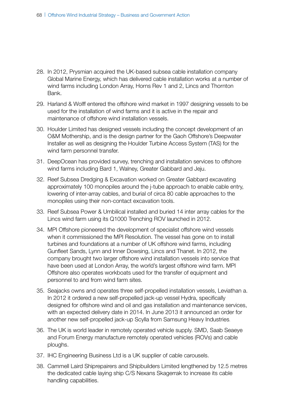- 28. In 2012, Prysmian acquired the UK-based subsea cable installation company Global Marine Energy, which has delivered cable installation works at a number of wind farms including London Array, Horns Rev 1 and 2, Lincs and Thornton Bank.
- 29. Harland & Wolff entered the offshore wind market in 1997 designing vessels to be used for the installation of wind farms and it is active in the repair and maintenance of offshore wind installation vessels.
- 30. Houlder Limited has designed vessels including the concept development of an O&M Mothership, and is the design partner for the Gaoh Offshore's Deepwater Installer as well as designing the Houlder Turbine Access System (TAS) for the wind farm personnel transfer.
- 31. DeepOcean has provided survey, trenching and installation services to offshore wind farms including Bard 1, Walney, Greater Gabbard and Jeju.
- 32. Reef Subsea Dredging & Excavation worked on Greater Gabbard excavating approximately 100 monopiles around the j-tube approach to enable cable entry, lowering of inter-array cables, and burial of circa 80 cable approaches to the monopiles using their non-contact excavation tools.
- 33. Reef Subsea Power & Umbilical installed and buried 14 inter array cables for the Lincs wind farm using its Q1000 Trenching ROV launched in 2012.
- 34. MPI Offshore pioneered the development of specialist offshore wind vessels when it commissioned the MPI Resolution. The vessel has gone on to install turbines and foundations at a number of UK offshore wind farms, including Gunfleet Sands, Lynn and Inner Dowsing, Lincs and Thanet. In 2012, the company brought two larger offshore wind installation vessels into service that have been used at London Array, the world's largest offshore wind farm. MPI Offshore also operates workboats used for the transfer of equipment and personnel to and from wind farm sites.
- 35. Seajacks owns and operates three self-propelled installation vessels, Leviathan a. In 2012 it ordered a new self-propelled jack-up vessel Hydra, specifically designed for offshore wind and oil and gas installation and maintenance services, with an expected delivery date in 2014. In June 2013 it announced an order for another new self-propelled jack-up Scylla from Samsung Heavy Industries.
- 36. The UK is world leader in remotely operated vehicle supply. SMD, Saab Seaeye and Forum Energy manufacture remotely operated vehicles (ROVs) and cable ploughs.
- 37. IHC Engineering Business Ltd is a UK supplier of cable carousels.
- 38. Cammell Laird Shiprepairers and Shipbuilders Limited lengthened by 12.5 metres the dedicated cable laying ship C/S Nexans Skagerrak to increase its cable handling capabilities.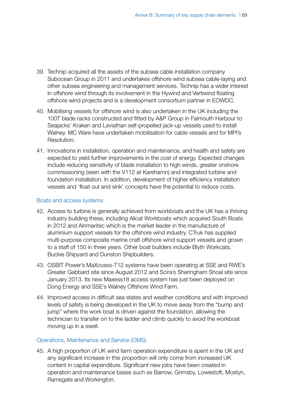- 39. Technip acquired all the assets of the subsea cable installation company Subocean Group in 2011 and undertakes offshore wind subsea cable-laying and other subsea engineering and management services. Technip has a wider interest in offshore wind through its involvement in the Hywind and Vertiwind floating offshore wind projects and is a development consortium partner in EOWDC.
- 40. Mobilising vessels for offshore wind is also undertaken in the UK including the 100T blade racks constructed and fitted by A&P Group in Falmouth Harbour to Seajacks' Kraken and Leviathan self-propelled jack-up vessels used to install Walney. MC Ware have undertaken mobilisation for cable vessels and for MPI's Resolution.
- 41. Innovations in installation, operation and maintenance, and health and safety are expected to yield further improvements in the cost of energy. Expected changes include reducing sensitivity of blade installation to high winds, greater onshore commissioning (seen with the V112 at Karehamn) and integrated turbine and foundation installation. In addition, development of higher efficiency installation vessels and 'float out and sink' concepts have the potential to reduce costs.

#### Boats and access systems

- 42. Access to turbine is generally achieved from workboats and the UK has a thriving industry building these, including Alicat Workboats which acquired South Boats in 2012 and Alnmaritec which is the market leader in the manufacture of aluminium support vessels for the offshore wind industry. CTruk has supplied multi-purpose composite marine craft offshore wind support vessels and grown to a staff of 150 in three years. Other boat builders include Blyth Workcats, Buckie Shipyard and Dunston Shipbuilders.
- 43. OSBIT Power's MaXccess-T12 systems have been operating at SSE and RWE's Greater Gabbard site since August 2012 and Scira's Sheringham Shoal site since January 2013. Its new Maxess18 access system has just been deployed on Dong Energy and SSE's Walney Offshore Wind Farm.
- 44. Improved access in difficult sea states and weather conditions and with improved levels of safety is being developed in the UK to move away from the "bump and jump" where the work boat is driven against the foundation, allowing the technician to transfer on to the ladder and climb quickly to avoid the workboat moving up in a swell.

#### Operations, Maintenance and Service (OMS)

45. A high proportion of UK wind farm operation expenditure is spent in the UK and any significant increase in this proportion will only come from increased UK content in capital expenditure. Significant new jobs have been created in operation and maintenance bases such as Barrow, Grimsby, Lowestoft, Mostyn, Ramsgate and Workington.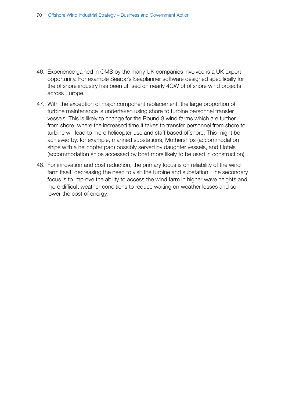- 46. Experience gained in OMS by the many UK companies involved is a UK export opportunity. For example Searoc's Seaplanner software designed specifically for the offshore industry has been utilised on nearly 4GW of offshore wind projects across Europe.
- 47. With the exception of major component replacement, the large proportion of turbine maintenance is undertaken using shore to turbine personnel transfer vessels. This is likely to change for the Round 3 wind farms which are further from shore, where the increased time it takes to transfer personnel from shore to turbine will lead to more helicopter use and staff based offshore. This might be achieved by, for example, manned substations, Motherships (accommodation ships with a helicopter pad) possibly served by daughter vessels, and Flotels (accommodation ships accessed by boat more likely to be used in construction).
- 48. For innovation and cost reduction, the primary focus is on reliability of the wind farm itself, decreasing the need to visit the turbine and substation. The secondary focus is to improve the ability to access the wind farm in higher wave heights and more difficult weather conditions to reduce waiting on weather losses and so lower the cost of energy.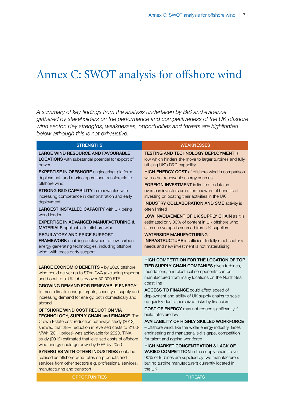# Annex C: SWOT analysis for offshore wind

*A summary of key findings from the analysis undertaken by BIS and evidence gathered by stakeholders on the performance and competitiveness of the UK offshore wind sector. Key strengths, weaknesses, opportunities and threats are highlighted below although this is not exhaustive.*

| <b>STRENGTHS</b>                                                                                                                                                                                                                                                                                                                                                                                                                                                                                                                                                                                                                                                                                                                                                                                                                                                                            | <b>WEAKNESSES</b>                                                                                                                                                                                                                                                                                                                                                                                                                                                                                                                                                                                                                                                                                                                                                                                                                                                                     |
|---------------------------------------------------------------------------------------------------------------------------------------------------------------------------------------------------------------------------------------------------------------------------------------------------------------------------------------------------------------------------------------------------------------------------------------------------------------------------------------------------------------------------------------------------------------------------------------------------------------------------------------------------------------------------------------------------------------------------------------------------------------------------------------------------------------------------------------------------------------------------------------------|---------------------------------------------------------------------------------------------------------------------------------------------------------------------------------------------------------------------------------------------------------------------------------------------------------------------------------------------------------------------------------------------------------------------------------------------------------------------------------------------------------------------------------------------------------------------------------------------------------------------------------------------------------------------------------------------------------------------------------------------------------------------------------------------------------------------------------------------------------------------------------------|
| LARGE WIND RESOURCE AND FAVOURABLE<br><b>LOCATIONS</b> with substantial potential for export of<br>power<br><b>EXPERTISE IN OFFSHORE</b> engineering, platform<br>deployment, and marine operations transferable to<br>offshore wind<br><b>STRONG R&amp;D CAPABILITY</b> in renewables with<br>increasing competence in demonstration and early<br>deployment<br><b>LARGEST INSTALLED CAPACITY with UK being</b><br>world leader<br><b>EXPERTISE IN ADVANCED MANUFACTURING &amp;</b><br><b>MATERIALS</b> applicable to offshore wind<br><b>REGULATORY AND PRICE SUPPORT</b><br>FRAMEWORK enabling deployment of low-carbon<br>energy generating technologies, including offshore<br>wind, with cross party support                                                                                                                                                                          | <b>TESTING AND TECHNOLOGY DEPLOYMENT is</b><br>low which hinders the move to larger turbines and fully<br>utilising UK's R&D capability<br><b>HIGH ENERGY COST</b> of offshore wind in comparison<br>with other renewable energy sources<br><b>FOREIGN INVESTMENT</b> is limited to date as<br>overseas investors are often unaware of benefits of<br>investing or locating their activities in the UK<br><b>INDUSTRY COLLABORATION AND SME activity is</b><br>often limited<br><b>LOW INVOLVEMENT OF UK SUPPLY CHAIN as it is</b><br>estimated only 30% of content in UK offshore wind<br>sites on average is sourced from UK suppliers<br><b>WATERSIDE MANUFACTURING</b><br><b>INFRASTRUCTURE</b> insufficient to fully meet sector's<br>needs and new investment is not materialising                                                                                              |
| LARGE ECONOMIC BENEFITS - by 2020 offshore<br>wind could deliver up to £7bn GVA (excluding exports)<br>and boost total UK jobs by over 30,000 FTE<br><b>GROWING DEMAND FOR RENEWABLE ENERGY</b><br>to meet climate change targets, security of supply and<br>increasing demand for energy, both domestically and<br>abroad<br>OFFSHORE WIND COST REDUCTION VIA<br><b>TECHNOLOGY, SUPPLY CHAIN and FINANCE.</b> The<br>Crown Estate cost reduction pathways study (2012)<br>showed that 28% reduction in levelised costs to £100/<br>MWh (2011 prices) was achievable for 2020. TINA<br>study (2012) estimated that levelised costs of offshore<br>wind energy could go down by 60% by 2050<br><b>SYNERGIES WITH OTHER INDUSTRIES could be</b><br>realised as offshore wind relies on products and<br>services from other sectors e.g. professional services,<br>manufacturing and transport | HIGH COMPETITION FOR THE LOCATION OF TOP<br>TIER SUPPLY CHAIN COMPANIES given turbines,<br>foundations, and electrical components can be<br>manufactured from many locations on the North Sea<br>coast line<br><b>ACCESS TO FINANCE</b> could affect speed of<br>deployment and ability of UK supply chains to scale<br>up quickly due to perceived risks by financiers<br><b>COST OF ENERGY</b> may not reduce significantly if<br>build rates are low<br><b>AVAILABILITY OF HIGHLY SKILLED WORKFORCE</b><br>- offshore wind, like the wider energy industry, faces<br>engineering and managerial skills gaps, competition<br>for talent and ageing workforce<br><b>HIGH MARKET CONCENTRATION &amp; LACK OF</b><br>VARIED COMPETITION in the supply chain - over<br>90% of turbines are supplied by two manufacturers<br>but no turbine manufacturers currently located in<br>the UK |

OPPORTUNITIES **THREATS**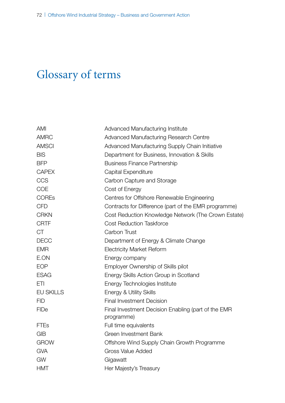## Glossary of terms

| <b>AMI</b>       | Advanced Manufacturing Institute                                  |
|------------------|-------------------------------------------------------------------|
| <b>AMRC</b>      | <b>Advanced Manufacturing Research Centre</b>                     |
| <b>AMSCI</b>     | Advanced Manufacturing Supply Chain Initiative                    |
| <b>BIS</b>       | Department for Business, Innovation & Skills                      |
| <b>BFP</b>       | <b>Business Finance Partnership</b>                               |
| <b>CAPEX</b>     | Capital Expenditure                                               |
| CCS              | Carbon Capture and Storage                                        |
| <b>COE</b>       | Cost of Energy                                                    |
| <b>COREs</b>     | Centres for Offshore Renewable Engineering                        |
| <b>CFD</b>       | Contracts for Difference (part of the EMR programme)              |
| <b>CRKN</b>      | Cost Reduction Knowledge Network (The Crown Estate)               |
| <b>CRTF</b>      | <b>Cost Reduction Taskforce</b>                                   |
| <b>CT</b>        | Carbon Trust                                                      |
| <b>DECC</b>      | Department of Energy & Climate Change                             |
| <b>EMR</b>       | <b>Electricity Market Reform</b>                                  |
| E.ON             | Energy company                                                    |
| <b>EOP</b>       | Employer Ownership of Skills pilot                                |
| <b>ESAG</b>      | Energy Skills Action Group in Scotland                            |
| ETI              | Energy Technologies Institute                                     |
| <b>EU SKILLS</b> | Energy & Utility Skills                                           |
| <b>FID</b>       | <b>Final Investment Decision</b>                                  |
| <b>FIDe</b>      | Final Investment Decision Enabling (part of the EMR<br>programme) |
| <b>FTEs</b>      | Full time equivalents                                             |
| <b>GIB</b>       | <b>Green Investment Bank</b>                                      |
| <b>GROW</b>      | Offshore Wind Supply Chain Growth Programme                       |
| <b>GVA</b>       | <b>Gross Value Added</b>                                          |
| GW               | Gigawatt                                                          |
| <b>HMT</b>       | Her Majesty's Treasury                                            |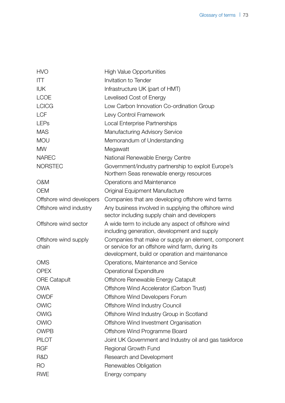| <b>HVO</b>                    | <b>High Value Opportunities</b>                                                                                                                            |
|-------------------------------|------------------------------------------------------------------------------------------------------------------------------------------------------------|
| $\Pi$                         | <b>Invitation to Tender</b>                                                                                                                                |
| <b>IUK</b>                    | Infrastructure UK (part of HMT)                                                                                                                            |
| <b>LCOE</b>                   | Levelised Cost of Energy                                                                                                                                   |
| <b>LCICG</b>                  | Low Carbon Innovation Co-ordination Group                                                                                                                  |
| <b>LCF</b>                    | Levy Control Framework                                                                                                                                     |
| <b>LEPs</b>                   | Local Enterprise Partnerships                                                                                                                              |
| <b>MAS</b>                    | Manufacturing Advisory Service                                                                                                                             |
| <b>MOU</b>                    | Memorandum of Understanding                                                                                                                                |
| <b>MW</b>                     | Megawatt                                                                                                                                                   |
| <b>NAREC</b>                  | National Renewable Energy Centre                                                                                                                           |
| <b>NORSTEC</b>                | Government/industry partnership to exploit Europe's<br>Northern Seas renewable energy resources                                                            |
| O&M                           | Operations and Maintenance                                                                                                                                 |
| <b>OEM</b>                    | Original Equipment Manufacture                                                                                                                             |
| Offshore wind developers      | Companies that are developing offshore wind farms                                                                                                          |
| Offshore wind industry        | Any business involved in supplying the offshore wind<br>sector including supply chain and developers                                                       |
| Offshore wind sector          | A wide term to include any aspect of offshore wind<br>including generation, development and supply                                                         |
| Offshore wind supply<br>chain | Companies that make or supply an element, component<br>or service for an offshore wind farm, during its<br>development, build or operation and maintenance |
| <b>OMS</b>                    | Operations, Maintenance and Service                                                                                                                        |
| <b>OPEX</b>                   | <b>Operational Expenditure</b>                                                                                                                             |
| <b>ORE Catapult</b>           | Offshore Renewable Energy Catapult                                                                                                                         |
| <b>OWA</b>                    | Offshore Wind Accelerator (Carbon Trust)                                                                                                                   |
| <b>OWDF</b>                   | Offshore Wind Developers Forum                                                                                                                             |
| <b>OWIC</b>                   | <b>Offshore Wind Industry Council</b>                                                                                                                      |
| <b>OWIG</b>                   | Offshore Wind Industry Group in Scotland                                                                                                                   |
| <b>OWIO</b>                   | Offshore Wind Investment Organisation                                                                                                                      |
| <b>OWPB</b>                   | Offshore Wind Programme Board                                                                                                                              |
| <b>PILOT</b>                  | Joint UK Government and Industry oil and gas taskforce                                                                                                     |
| <b>RGF</b>                    | Regional Growth Fund                                                                                                                                       |
| R&D                           | Research and Development                                                                                                                                   |
| R <sub>O</sub>                | Renewables Obligation                                                                                                                                      |
| <b>RWE</b>                    | Energy company                                                                                                                                             |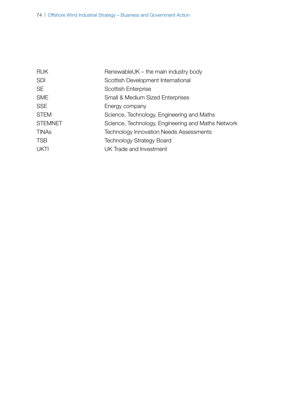| <b>RUK</b>     | RenewableUK – the main industry body               |
|----------------|----------------------------------------------------|
| <b>SDI</b>     | Scottish Development International                 |
| SE             | Scottish Enterprise                                |
| <b>SME</b>     | <b>Small &amp; Medium Sized Enterprises</b>        |
| SSE            | Energy company                                     |
| <b>STEM</b>    | Science, Technology, Engineering and Maths         |
| <b>STEMNET</b> | Science, Technology, Engineering and Maths Network |
| TINAs          | <b>Technology Innovation Needs Assessments</b>     |
| TSB            | <b>Technology Strategy Board</b>                   |
| UKTI           | UK Trade and Investment                            |
|                |                                                    |